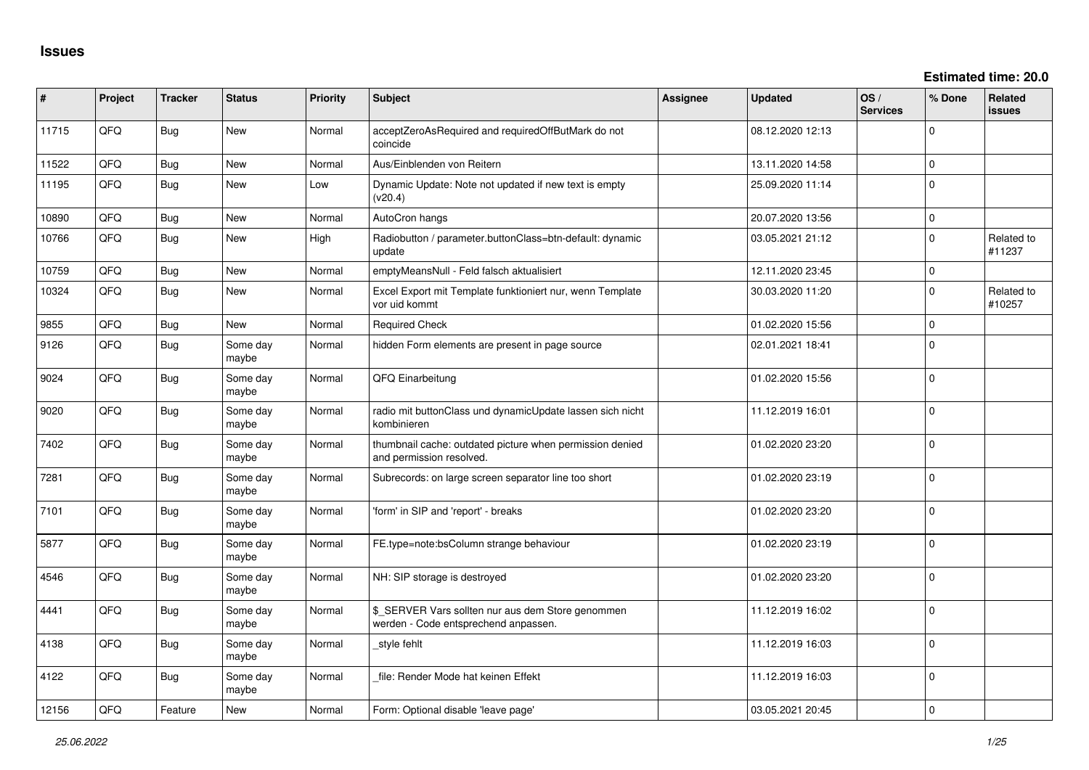| #     | Project | <b>Tracker</b> | <b>Status</b>     | <b>Priority</b> | Subject                                                                                   | <b>Assignee</b> | <b>Updated</b>   | OS/<br><b>Services</b> | % Done              | <b>Related</b><br><b>issues</b> |
|-------|---------|----------------|-------------------|-----------------|-------------------------------------------------------------------------------------------|-----------------|------------------|------------------------|---------------------|---------------------------------|
| 11715 | QFQ     | Bug            | New               | Normal          | acceptZeroAsRequired and requiredOffButMark do not<br>coincide                            |                 | 08.12.2020 12:13 |                        | 0                   |                                 |
| 11522 | QFQ     | Bug            | New               | Normal          | Aus/Einblenden von Reitern                                                                |                 | 13.11.2020 14:58 |                        | 0                   |                                 |
| 11195 | QFQ     | Bug            | New               | Low             | Dynamic Update: Note not updated if new text is empty<br>(v20.4)                          |                 | 25.09.2020 11:14 |                        | $\mathbf{0}$        |                                 |
| 10890 | QFQ     | Bug            | <b>New</b>        | Normal          | AutoCron hangs                                                                            |                 | 20.07.2020 13:56 |                        | $\mathbf{0}$        |                                 |
| 10766 | QFQ     | <b>Bug</b>     | <b>New</b>        | High            | Radiobutton / parameter.buttonClass=btn-default: dynamic<br>update                        |                 | 03.05.2021 21:12 |                        | $\Omega$            | Related to<br>#11237            |
| 10759 | QFQ     | Bug            | New               | Normal          | emptyMeansNull - Feld falsch aktualisiert                                                 |                 | 12.11.2020 23:45 |                        | $\mathsf{O}\xspace$ |                                 |
| 10324 | QFQ     | Bug            | New               | Normal          | Excel Export mit Template funktioniert nur, wenn Template<br>vor uid kommt                |                 | 30.03.2020 11:20 |                        | $\mathbf 0$         | Related to<br>#10257            |
| 9855  | QFQ     | Bug            | <b>New</b>        | Normal          | <b>Required Check</b>                                                                     |                 | 01.02.2020 15:56 |                        | $\mathbf 0$         |                                 |
| 9126  | QFQ     | Bug            | Some day<br>maybe | Normal          | hidden Form elements are present in page source                                           |                 | 02.01.2021 18:41 |                        | $\Omega$            |                                 |
| 9024  | QFQ     | Bug            | Some day<br>maybe | Normal          | QFQ Einarbeitung                                                                          |                 | 01.02.2020 15:56 |                        | $\mathbf{0}$        |                                 |
| 9020  | QFQ     | Bug            | Some day<br>maybe | Normal          | radio mit buttonClass und dynamicUpdate lassen sich nicht<br>kombinieren                  |                 | 11.12.2019 16:01 |                        | 0                   |                                 |
| 7402  | QFQ     | Bug            | Some day<br>maybe | Normal          | thumbnail cache: outdated picture when permission denied<br>and permission resolved.      |                 | 01.02.2020 23:20 |                        | 0                   |                                 |
| 7281  | QFQ     | Bug            | Some day<br>maybe | Normal          | Subrecords: on large screen separator line too short                                      |                 | 01.02.2020 23:19 |                        | $\mathbf 0$         |                                 |
| 7101  | QFQ     | Bug            | Some day<br>maybe | Normal          | 'form' in SIP and 'report' - breaks                                                       |                 | 01.02.2020 23:20 |                        | $\Omega$            |                                 |
| 5877  | QFQ     | Bug            | Some day<br>maybe | Normal          | FE.type=note:bsColumn strange behaviour                                                   |                 | 01.02.2020 23:19 |                        | $\Omega$            |                                 |
| 4546  | QFQ     | Bug            | Some day<br>maybe | Normal          | NH: SIP storage is destroyed                                                              |                 | 01.02.2020 23:20 |                        | $\mathbf 0$         |                                 |
| 4441  | QFQ     | <b>Bug</b>     | Some day<br>maybe | Normal          | \$_SERVER Vars sollten nur aus dem Store genommen<br>werden - Code entsprechend anpassen. |                 | 11.12.2019 16:02 |                        | 0                   |                                 |
| 4138  | QFQ     | Bug            | Some day<br>maybe | Normal          | style fehlt                                                                               |                 | 11.12.2019 16:03 |                        | $\Omega$            |                                 |
| 4122  | QFQ     | Bug            | Some day<br>maybe | Normal          | file: Render Mode hat keinen Effekt                                                       |                 | 11.12.2019 16:03 |                        | 0                   |                                 |
| 12156 | QFQ     | Feature        | <b>New</b>        | Normal          | Form: Optional disable 'leave page'                                                       |                 | 03.05.2021 20:45 |                        | $\Omega$            |                                 |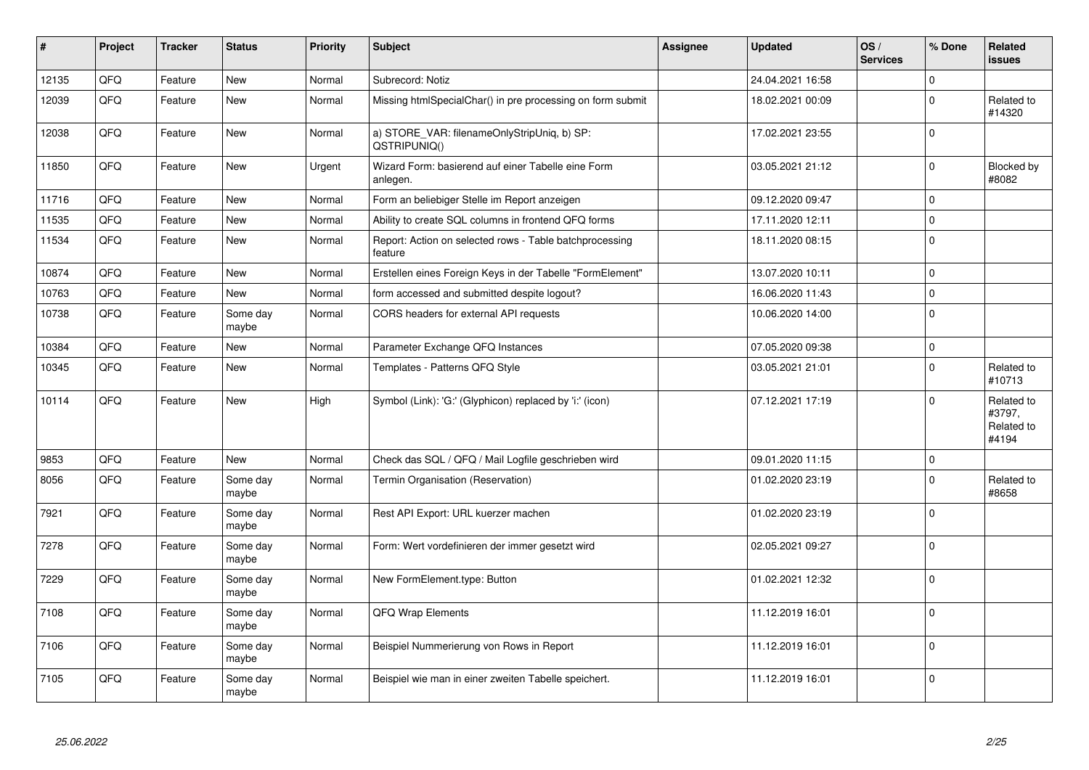| #     | Project | <b>Tracker</b> | <b>Status</b>     | <b>Priority</b> | <b>Subject</b>                                                     | Assignee | <b>Updated</b>   | OS/<br><b>Services</b> | % Done         | <b>Related</b><br><b>issues</b>             |
|-------|---------|----------------|-------------------|-----------------|--------------------------------------------------------------------|----------|------------------|------------------------|----------------|---------------------------------------------|
| 12135 | QFQ     | Feature        | <b>New</b>        | Normal          | Subrecord: Notiz                                                   |          | 24.04.2021 16:58 |                        | $\Omega$       |                                             |
| 12039 | QFQ     | Feature        | New               | Normal          | Missing htmlSpecialChar() in pre processing on form submit         |          | 18.02.2021 00:09 |                        | $\Omega$       | Related to<br>#14320                        |
| 12038 | QFQ     | Feature        | <b>New</b>        | Normal          | a) STORE_VAR: filenameOnlyStripUniq, b) SP:<br>QSTRIPUNIQ()        |          | 17.02.2021 23:55 |                        | $\overline{0}$ |                                             |
| 11850 | QFQ     | Feature        | <b>New</b>        | Urgent          | Wizard Form: basierend auf einer Tabelle eine Form<br>anlegen.     |          | 03.05.2021 21:12 |                        | $\Omega$       | Blocked by<br>#8082                         |
| 11716 | QFQ     | Feature        | <b>New</b>        | Normal          | Form an beliebiger Stelle im Report anzeigen                       |          | 09.12.2020 09:47 |                        | 0              |                                             |
| 11535 | QFQ     | Feature        | New               | Normal          | Ability to create SQL columns in frontend QFQ forms                |          | 17.11.2020 12:11 |                        | $\mathbf{0}$   |                                             |
| 11534 | QFQ     | Feature        | <b>New</b>        | Normal          | Report: Action on selected rows - Table batchprocessing<br>feature |          | 18.11.2020 08:15 |                        | $\overline{0}$ |                                             |
| 10874 | QFQ     | Feature        | <b>New</b>        | Normal          | Erstellen eines Foreign Keys in der Tabelle "FormElement"          |          | 13.07.2020 10:11 |                        | $\mathbf 0$    |                                             |
| 10763 | QFQ     | Feature        | <b>New</b>        | Normal          | form accessed and submitted despite logout?                        |          | 16.06.2020 11:43 |                        | $\Omega$       |                                             |
| 10738 | QFQ     | Feature        | Some day<br>maybe | Normal          | CORS headers for external API requests                             |          | 10.06.2020 14:00 |                        | $\Omega$       |                                             |
| 10384 | QFQ     | Feature        | <b>New</b>        | Normal          | Parameter Exchange QFQ Instances                                   |          | 07.05.2020 09:38 |                        | $\Omega$       |                                             |
| 10345 | QFQ     | Feature        | New               | Normal          | Templates - Patterns QFQ Style                                     |          | 03.05.2021 21:01 |                        | $\Omega$       | Related to<br>#10713                        |
| 10114 | QFQ     | Feature        | <b>New</b>        | High            | Symbol (Link): 'G:' (Glyphicon) replaced by 'i:' (icon)            |          | 07.12.2021 17:19 |                        | $\Omega$       | Related to<br>#3797,<br>Related to<br>#4194 |
| 9853  | QFQ     | Feature        | <b>New</b>        | Normal          | Check das SQL / QFQ / Mail Logfile geschrieben wird                |          | 09.01.2020 11:15 |                        | $\mathbf 0$    |                                             |
| 8056  | QFQ     | Feature        | Some day<br>maybe | Normal          | Termin Organisation (Reservation)                                  |          | 01.02.2020 23:19 |                        | $\overline{0}$ | Related to<br>#8658                         |
| 7921  | QFQ     | Feature        | Some day<br>maybe | Normal          | Rest API Export: URL kuerzer machen                                |          | 01.02.2020 23:19 |                        | $\Omega$       |                                             |
| 7278  | QFQ     | Feature        | Some day<br>maybe | Normal          | Form: Wert vordefinieren der immer gesetzt wird                    |          | 02.05.2021 09:27 |                        | $\overline{0}$ |                                             |
| 7229  | QFQ     | Feature        | Some day<br>maybe | Normal          | New FormElement.type: Button                                       |          | 01.02.2021 12:32 |                        | $\Omega$       |                                             |
| 7108  | QFQ     | Feature        | Some day<br>maybe | Normal          | QFQ Wrap Elements                                                  |          | 11.12.2019 16:01 |                        | 0              |                                             |
| 7106  | QFQ     | Feature        | Some day<br>maybe | Normal          | Beispiel Nummerierung von Rows in Report                           |          | 11.12.2019 16:01 |                        | $\Omega$       |                                             |
| 7105  | QFQ     | Feature        | Some day<br>maybe | Normal          | Beispiel wie man in einer zweiten Tabelle speichert.               |          | 11.12.2019 16:01 |                        | $\overline{0}$ |                                             |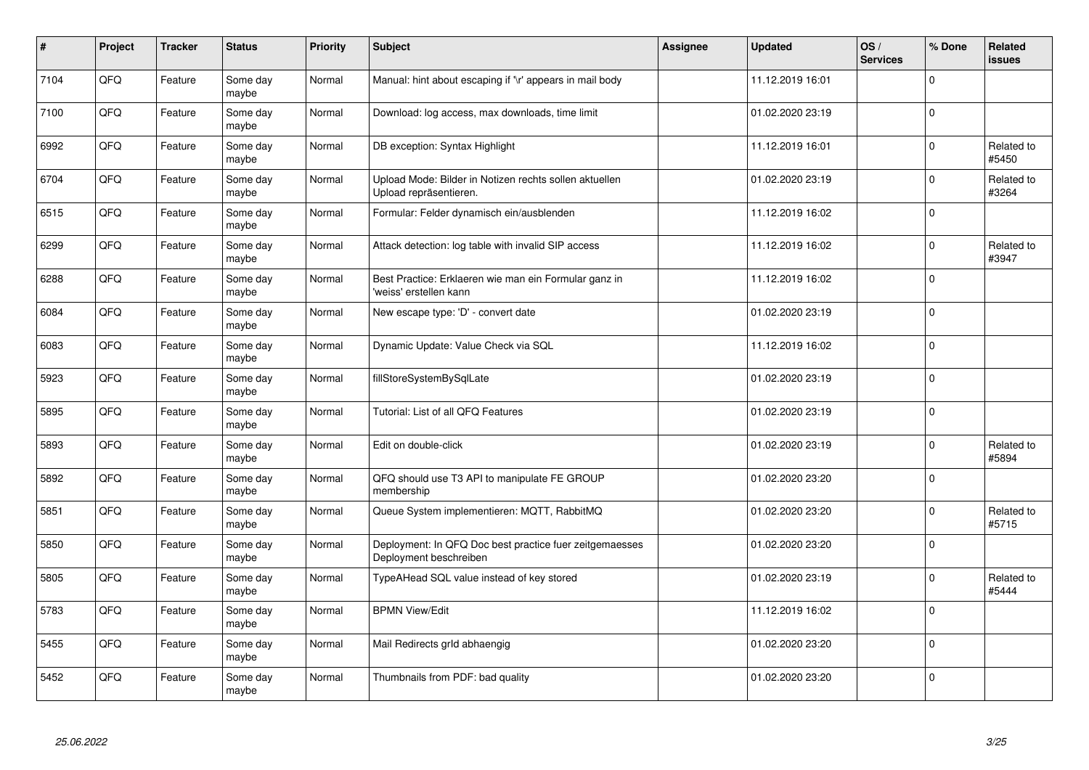| $\sharp$ | Project | <b>Tracker</b> | <b>Status</b>     | <b>Priority</b> | <b>Subject</b>                                                                    | <b>Assignee</b> | <b>Updated</b>   | OS/<br><b>Services</b> | % Done      | Related<br>issues   |
|----------|---------|----------------|-------------------|-----------------|-----------------------------------------------------------------------------------|-----------------|------------------|------------------------|-------------|---------------------|
| 7104     | QFQ     | Feature        | Some day<br>maybe | Normal          | Manual: hint about escaping if '\r' appears in mail body                          |                 | 11.12.2019 16:01 |                        | $\Omega$    |                     |
| 7100     | QFQ     | Feature        | Some day<br>maybe | Normal          | Download: log access, max downloads, time limit                                   |                 | 01.02.2020 23:19 |                        | $\Omega$    |                     |
| 6992     | QFQ     | Feature        | Some day<br>maybe | Normal          | DB exception: Syntax Highlight                                                    |                 | 11.12.2019 16:01 |                        | $\Omega$    | Related to<br>#5450 |
| 6704     | QFQ     | Feature        | Some day<br>maybe | Normal          | Upload Mode: Bilder in Notizen rechts sollen aktuellen<br>Upload repräsentieren.  |                 | 01.02.2020 23:19 |                        | $\Omega$    | Related to<br>#3264 |
| 6515     | QFQ     | Feature        | Some day<br>maybe | Normal          | Formular: Felder dynamisch ein/ausblenden                                         |                 | 11.12.2019 16:02 |                        | $\Omega$    |                     |
| 6299     | QFQ     | Feature        | Some day<br>maybe | Normal          | Attack detection: log table with invalid SIP access                               |                 | 11.12.2019 16:02 |                        | $\Omega$    | Related to<br>#3947 |
| 6288     | QFQ     | Feature        | Some day<br>maybe | Normal          | Best Practice: Erklaeren wie man ein Formular ganz in<br>'weiss' erstellen kann   |                 | 11.12.2019 16:02 |                        | $\Omega$    |                     |
| 6084     | QFQ     | Feature        | Some day<br>maybe | Normal          | New escape type: 'D' - convert date                                               |                 | 01.02.2020 23:19 |                        | $\Omega$    |                     |
| 6083     | QFQ     | Feature        | Some day<br>maybe | Normal          | Dynamic Update: Value Check via SQL                                               |                 | 11.12.2019 16:02 |                        | $\Omega$    |                     |
| 5923     | QFQ     | Feature        | Some day<br>maybe | Normal          | fillStoreSystemBySqlLate                                                          |                 | 01.02.2020 23:19 |                        | $\Omega$    |                     |
| 5895     | QFQ     | Feature        | Some day<br>maybe | Normal          | Tutorial: List of all QFQ Features                                                |                 | 01.02.2020 23:19 |                        | $\mathbf 0$ |                     |
| 5893     | QFQ     | Feature        | Some day<br>maybe | Normal          | Edit on double-click                                                              |                 | 01.02.2020 23:19 |                        | $\Omega$    | Related to<br>#5894 |
| 5892     | QFQ     | Feature        | Some day<br>maybe | Normal          | QFQ should use T3 API to manipulate FE GROUP<br>membership                        |                 | 01.02.2020 23:20 |                        | $\mathbf 0$ |                     |
| 5851     | QFQ     | Feature        | Some day<br>maybe | Normal          | Queue System implementieren: MQTT, RabbitMQ                                       |                 | 01.02.2020 23:20 |                        | 0           | Related to<br>#5715 |
| 5850     | QFQ     | Feature        | Some day<br>maybe | Normal          | Deployment: In QFQ Doc best practice fuer zeitgemaesses<br>Deployment beschreiben |                 | 01.02.2020 23:20 |                        | $\Omega$    |                     |
| 5805     | QFQ     | Feature        | Some day<br>maybe | Normal          | TypeAHead SQL value instead of key stored                                         |                 | 01.02.2020 23:19 |                        | $\Omega$    | Related to<br>#5444 |
| 5783     | QFQ     | Feature        | Some day<br>maybe | Normal          | <b>BPMN View/Edit</b>                                                             |                 | 11.12.2019 16:02 |                        | $\Omega$    |                     |
| 5455     | QFQ     | Feature        | Some day<br>maybe | Normal          | Mail Redirects grld abhaengig                                                     |                 | 01.02.2020 23:20 |                        | $\Omega$    |                     |
| 5452     | QFQ     | Feature        | Some day<br>maybe | Normal          | Thumbnails from PDF: bad quality                                                  |                 | 01.02.2020 23:20 |                        | $\Omega$    |                     |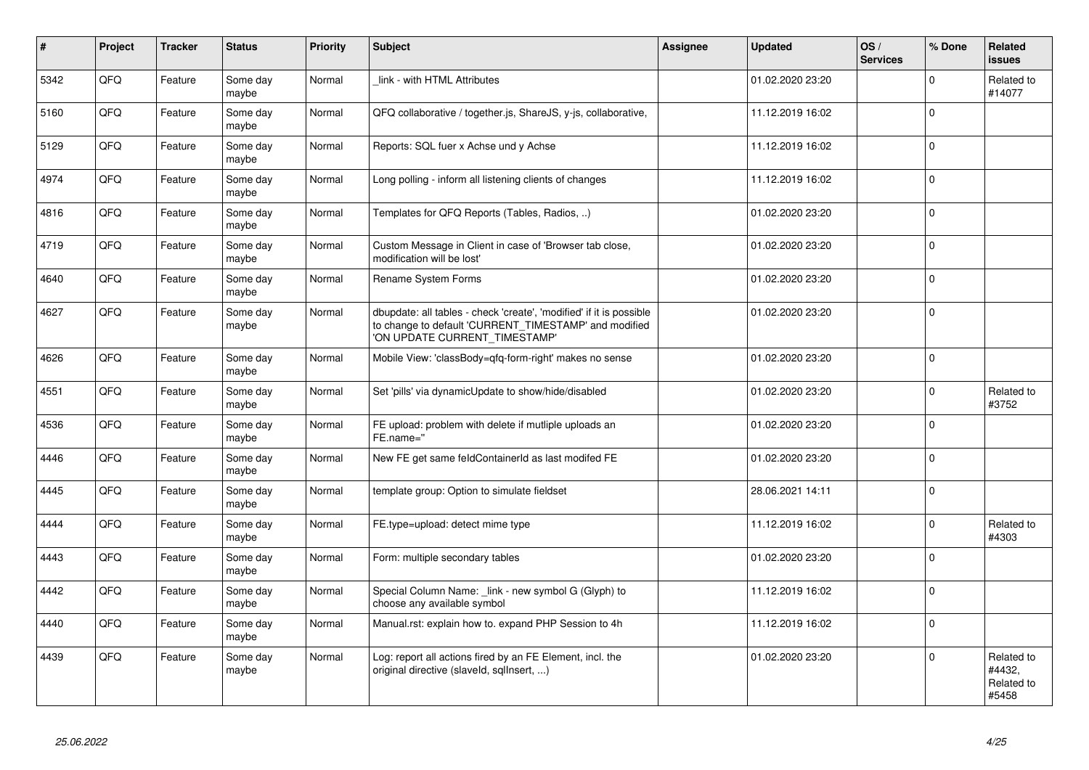| $\vert$ # | Project | <b>Tracker</b> | <b>Status</b>     | <b>Priority</b> | <b>Subject</b>                                                                                                                                                | Assignee | <b>Updated</b>   | OS/<br><b>Services</b> | % Done       | Related<br>issues                           |
|-----------|---------|----------------|-------------------|-----------------|---------------------------------------------------------------------------------------------------------------------------------------------------------------|----------|------------------|------------------------|--------------|---------------------------------------------|
| 5342      | QFQ     | Feature        | Some day<br>maybe | Normal          | link - with HTML Attributes                                                                                                                                   |          | 01.02.2020 23:20 |                        | $\mathbf 0$  | Related to<br>#14077                        |
| 5160      | QFQ     | Feature        | Some day<br>maybe | Normal          | QFQ collaborative / together.js, ShareJS, y-js, collaborative,                                                                                                |          | 11.12.2019 16:02 |                        | $\mathbf{0}$ |                                             |
| 5129      | QFQ     | Feature        | Some day<br>maybe | Normal          | Reports: SQL fuer x Achse und y Achse                                                                                                                         |          | 11.12.2019 16:02 |                        | $\mathbf 0$  |                                             |
| 4974      | QFQ     | Feature        | Some day<br>maybe | Normal          | Long polling - inform all listening clients of changes                                                                                                        |          | 11.12.2019 16:02 |                        | $\mathbf 0$  |                                             |
| 4816      | QFQ     | Feature        | Some day<br>maybe | Normal          | Templates for QFQ Reports (Tables, Radios, )                                                                                                                  |          | 01.02.2020 23:20 |                        | $\mathbf 0$  |                                             |
| 4719      | QFQ     | Feature        | Some day<br>maybe | Normal          | Custom Message in Client in case of 'Browser tab close,<br>modification will be lost'                                                                         |          | 01.02.2020 23:20 |                        | $\Omega$     |                                             |
| 4640      | QFQ     | Feature        | Some day<br>maybe | Normal          | Rename System Forms                                                                                                                                           |          | 01.02.2020 23:20 |                        | $\Omega$     |                                             |
| 4627      | QFQ     | Feature        | Some day<br>maybe | Normal          | dbupdate: all tables - check 'create', 'modified' if it is possible<br>to change to default 'CURRENT_TIMESTAMP' and modified<br>'ON UPDATE CURRENT TIMESTAMP' |          | 01.02.2020 23:20 |                        | $\Omega$     |                                             |
| 4626      | QFQ     | Feature        | Some day<br>maybe | Normal          | Mobile View: 'classBody=qfq-form-right' makes no sense                                                                                                        |          | 01.02.2020 23:20 |                        | $\mathbf 0$  |                                             |
| 4551      | QFQ     | Feature        | Some day<br>maybe | Normal          | Set 'pills' via dynamicUpdate to show/hide/disabled                                                                                                           |          | 01.02.2020 23:20 |                        | $\mathbf 0$  | Related to<br>#3752                         |
| 4536      | QFQ     | Feature        | Some day<br>maybe | Normal          | FE upload: problem with delete if mutliple uploads an<br>FE.name="                                                                                            |          | 01.02.2020 23:20 |                        | $\Omega$     |                                             |
| 4446      | QFQ     | Feature        | Some day<br>maybe | Normal          | New FE get same feldContainerId as last modifed FE                                                                                                            |          | 01.02.2020 23:20 |                        | $\Omega$     |                                             |
| 4445      | QFQ     | Feature        | Some day<br>maybe | Normal          | template group: Option to simulate fieldset                                                                                                                   |          | 28.06.2021 14:11 |                        | $\Omega$     |                                             |
| 4444      | QFQ     | Feature        | Some day<br>maybe | Normal          | FE.type=upload: detect mime type                                                                                                                              |          | 11.12.2019 16:02 |                        | 0            | Related to<br>#4303                         |
| 4443      | QFQ     | Feature        | Some day<br>maybe | Normal          | Form: multiple secondary tables                                                                                                                               |          | 01.02.2020 23:20 |                        | $\Omega$     |                                             |
| 4442      | QFQ     | Feature        | Some day<br>maybe | Normal          | Special Column Name: _link - new symbol G (Glyph) to<br>choose any available symbol                                                                           |          | 11.12.2019 16:02 |                        | $\Omega$     |                                             |
| 4440      | QFQ     | Feature        | Some day<br>maybe | Normal          | Manual.rst: explain how to. expand PHP Session to 4h                                                                                                          |          | 11.12.2019 16:02 |                        | $\mathbf 0$  |                                             |
| 4439      | QFQ     | Feature        | Some day<br>maybe | Normal          | Log: report all actions fired by an FE Element, incl. the<br>original directive (slaveld, sqllnsert, )                                                        |          | 01.02.2020 23:20 |                        | $\Omega$     | Related to<br>#4432,<br>Related to<br>#5458 |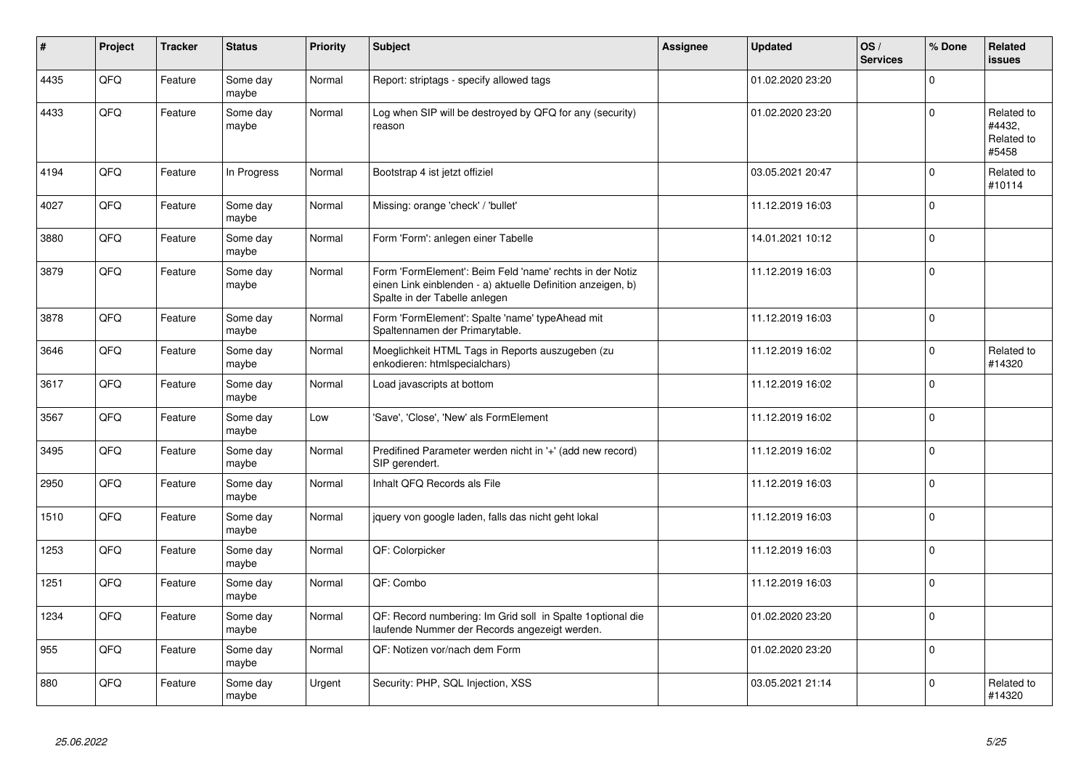| #    | Project | <b>Tracker</b> | <b>Status</b>     | <b>Priority</b> | <b>Subject</b>                                                                                                                                           | <b>Assignee</b> | <b>Updated</b>   | OS/<br><b>Services</b> | % Done         | Related<br><b>issues</b>                    |
|------|---------|----------------|-------------------|-----------------|----------------------------------------------------------------------------------------------------------------------------------------------------------|-----------------|------------------|------------------------|----------------|---------------------------------------------|
| 4435 | QFQ     | Feature        | Some day<br>maybe | Normal          | Report: striptags - specify allowed tags                                                                                                                 |                 | 01.02.2020 23:20 |                        | $\Omega$       |                                             |
| 4433 | QFQ     | Feature        | Some day<br>maybe | Normal          | Log when SIP will be destroyed by QFQ for any (security)<br>reason                                                                                       |                 | 01.02.2020 23:20 |                        | $\mathbf 0$    | Related to<br>#4432,<br>Related to<br>#5458 |
| 4194 | QFQ     | Feature        | In Progress       | Normal          | Bootstrap 4 ist jetzt offiziel                                                                                                                           |                 | 03.05.2021 20:47 |                        | $\Omega$       | Related to<br>#10114                        |
| 4027 | QFQ     | Feature        | Some day<br>maybe | Normal          | Missing: orange 'check' / 'bullet'                                                                                                                       |                 | 11.12.2019 16:03 |                        | $\Omega$       |                                             |
| 3880 | QFQ     | Feature        | Some day<br>maybe | Normal          | Form 'Form': anlegen einer Tabelle                                                                                                                       |                 | 14.01.2021 10:12 |                        | $\Omega$       |                                             |
| 3879 | QFQ     | Feature        | Some day<br>maybe | Normal          | Form 'FormElement': Beim Feld 'name' rechts in der Notiz<br>einen Link einblenden - a) aktuelle Definition anzeigen, b)<br>Spalte in der Tabelle anlegen |                 | 11.12.2019 16:03 |                        | 0              |                                             |
| 3878 | QFQ     | Feature        | Some day<br>maybe | Normal          | Form 'FormElement': Spalte 'name' typeAhead mit<br>Spaltennamen der Primarytable.                                                                        |                 | 11.12.2019 16:03 |                        | $\overline{0}$ |                                             |
| 3646 | QFQ     | Feature        | Some day<br>maybe | Normal          | Moeglichkeit HTML Tags in Reports auszugeben (zu<br>enkodieren: htmlspecialchars)                                                                        |                 | 11.12.2019 16:02 |                        | $\Omega$       | Related to<br>#14320                        |
| 3617 | QFQ     | Feature        | Some day<br>maybe | Normal          | Load javascripts at bottom                                                                                                                               |                 | 11.12.2019 16:02 |                        | $\Omega$       |                                             |
| 3567 | QFQ     | Feature        | Some day<br>maybe | Low             | 'Save', 'Close', 'New' als FormElement                                                                                                                   |                 | 11.12.2019 16:02 |                        | $\Omega$       |                                             |
| 3495 | QFQ     | Feature        | Some day<br>maybe | Normal          | Predifined Parameter werden nicht in '+' (add new record)<br>SIP gerendert.                                                                              |                 | 11.12.2019 16:02 |                        | $\mathbf 0$    |                                             |
| 2950 | QFQ     | Feature        | Some day<br>maybe | Normal          | Inhalt QFQ Records als File                                                                                                                              |                 | 11.12.2019 16:03 |                        | $\mathbf 0$    |                                             |
| 1510 | QFQ     | Feature        | Some day<br>maybe | Normal          | jquery von google laden, falls das nicht geht lokal                                                                                                      |                 | 11.12.2019 16:03 |                        | $\mathbf 0$    |                                             |
| 1253 | QFQ     | Feature        | Some day<br>maybe | Normal          | QF: Colorpicker                                                                                                                                          |                 | 11.12.2019 16:03 |                        | $\Omega$       |                                             |
| 1251 | QFQ     | Feature        | Some day<br>maybe | Normal          | QF: Combo                                                                                                                                                |                 | 11.12.2019 16:03 |                        | $\Omega$       |                                             |
| 1234 | QFQ     | Feature        | Some day<br>maybe | Normal          | QF: Record numbering: Im Grid soll in Spalte 1 optional die<br>laufende Nummer der Records angezeigt werden.                                             |                 | 01.02.2020 23:20 |                        | $\Omega$       |                                             |
| 955  | QFQ     | Feature        | Some day<br>maybe | Normal          | QF: Notizen vor/nach dem Form                                                                                                                            |                 | 01.02.2020 23:20 |                        | $\Omega$       |                                             |
| 880  | QFQ     | Feature        | Some day<br>maybe | Urgent          | Security: PHP, SQL Injection, XSS                                                                                                                        |                 | 03.05.2021 21:14 |                        | $\Omega$       | Related to<br>#14320                        |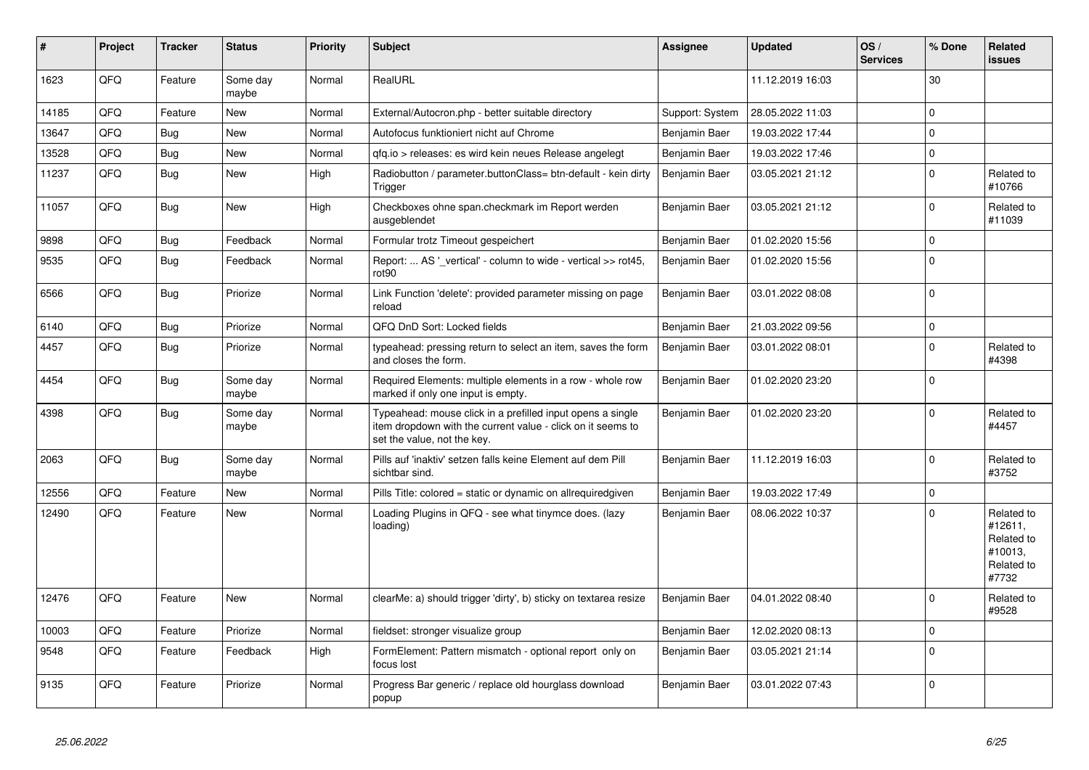| ∦     | Project | <b>Tracker</b> | <b>Status</b>     | <b>Priority</b> | <b>Subject</b>                                                                                                                                           | Assignee        | <b>Updated</b>   | OS/<br><b>Services</b> | % Done         | Related<br>issues                                                     |
|-------|---------|----------------|-------------------|-----------------|----------------------------------------------------------------------------------------------------------------------------------------------------------|-----------------|------------------|------------------------|----------------|-----------------------------------------------------------------------|
| 1623  | QFQ     | Feature        | Some day<br>maybe | Normal          | RealURL                                                                                                                                                  |                 | 11.12.2019 16:03 |                        | 30             |                                                                       |
| 14185 | QFQ     | Feature        | <b>New</b>        | Normal          | External/Autocron.php - better suitable directory                                                                                                        | Support: System | 28.05.2022 11:03 |                        | $\mathbf 0$    |                                                                       |
| 13647 | QFQ     | <b>Bug</b>     | <b>New</b>        | Normal          | Autofocus funktioniert nicht auf Chrome                                                                                                                  | Benjamin Baer   | 19.03.2022 17:44 |                        | $\mathbf 0$    |                                                                       |
| 13528 | QFQ     | <b>Bug</b>     | New               | Normal          | qfq.io > releases: es wird kein neues Release angelegt                                                                                                   | Benjamin Baer   | 19.03.2022 17:46 |                        | $\Omega$       |                                                                       |
| 11237 | QFQ     | Bug            | New               | High            | Radiobutton / parameter.buttonClass= btn-default - kein dirty<br>Trigger                                                                                 | Benjamin Baer   | 03.05.2021 21:12 |                        | $\Omega$       | Related to<br>#10766                                                  |
| 11057 | QFQ     | <b>Bug</b>     | New               | High            | Checkboxes ohne span.checkmark im Report werden<br>ausgeblendet                                                                                          | Benjamin Baer   | 03.05.2021 21:12 |                        | $\Omega$       | Related to<br>#11039                                                  |
| 9898  | QFQ     | Bug            | Feedback          | Normal          | Formular trotz Timeout gespeichert                                                                                                                       | Benjamin Baer   | 01.02.2020 15:56 |                        | $\mathbf 0$    |                                                                       |
| 9535  | QFQ     | <b>Bug</b>     | Feedback          | Normal          | Report:  AS ' vertical' - column to wide - vertical >> rot45,<br>rot <sub>90</sub>                                                                       | Benjamin Baer   | 01.02.2020 15:56 |                        | $\mathbf 0$    |                                                                       |
| 6566  | QFQ     | <b>Bug</b>     | Priorize          | Normal          | Link Function 'delete': provided parameter missing on page<br>reload                                                                                     | Benjamin Baer   | 03.01.2022 08:08 |                        | $\overline{0}$ |                                                                       |
| 6140  | QFQ     | <b>Bug</b>     | Priorize          | Normal          | QFQ DnD Sort: Locked fields                                                                                                                              | Benjamin Baer   | 21.03.2022 09:56 |                        | $\Omega$       |                                                                       |
| 4457  | QFQ     | <b>Bug</b>     | Priorize          | Normal          | typeahead: pressing return to select an item, saves the form<br>and closes the form.                                                                     | Benjamin Baer   | 03.01.2022 08:01 |                        | $\Omega$       | Related to<br>#4398                                                   |
| 4454  | QFQ     | <b>Bug</b>     | Some day<br>maybe | Normal          | Required Elements: multiple elements in a row - whole row<br>marked if only one input is empty.                                                          | Benjamin Baer   | 01.02.2020 23:20 |                        | 0              |                                                                       |
| 4398  | QFQ     | Bug            | Some day<br>maybe | Normal          | Typeahead: mouse click in a prefilled input opens a single<br>item dropdown with the current value - click on it seems to<br>set the value, not the key. | Benjamin Baer   | 01.02.2020 23:20 |                        | $\Omega$       | Related to<br>#4457                                                   |
| 2063  | QFQ     | Bug            | Some day<br>maybe | Normal          | Pills auf 'inaktiv' setzen falls keine Element auf dem Pill<br>sichtbar sind.                                                                            | Benjamin Baer   | 11.12.2019 16:03 |                        | $\Omega$       | Related to<br>#3752                                                   |
| 12556 | QFQ     | Feature        | <b>New</b>        | Normal          | Pills Title: colored = static or dynamic on allrequiredgiven                                                                                             | Benjamin Baer   | 19.03.2022 17:49 |                        | $\Omega$       |                                                                       |
| 12490 | QFQ     | Feature        | New               | Normal          | Loading Plugins in QFQ - see what tinymce does. (lazy<br>loading)                                                                                        | Benjamin Baer   | 08.06.2022 10:37 |                        | $\Omega$       | Related to<br>#12611,<br>Related to<br>#10013,<br>Related to<br>#7732 |
| 12476 | QFQ     | Feature        | <b>New</b>        | Normal          | clearMe: a) should trigger 'dirty', b) sticky on textarea resize                                                                                         | Benjamin Baer   | 04.01.2022 08:40 |                        | $\Omega$       | Related to<br>#9528                                                   |
| 10003 | QFQ     | Feature        | Priorize          | Normal          | fieldset: stronger visualize group                                                                                                                       | Benjamin Baer   | 12.02.2020 08:13 |                        | $\mathbf 0$    |                                                                       |
| 9548  | QFQ     | Feature        | Feedback          | High            | FormElement: Pattern mismatch - optional report only on<br>focus lost                                                                                    | Benjamin Baer   | 03.05.2021 21:14 |                        | $\Omega$       |                                                                       |
| 9135  | QFQ     | Feature        | Priorize          | Normal          | Progress Bar generic / replace old hourglass download<br>popup                                                                                           | Benjamin Baer   | 03.01.2022 07:43 |                        | $\Omega$       |                                                                       |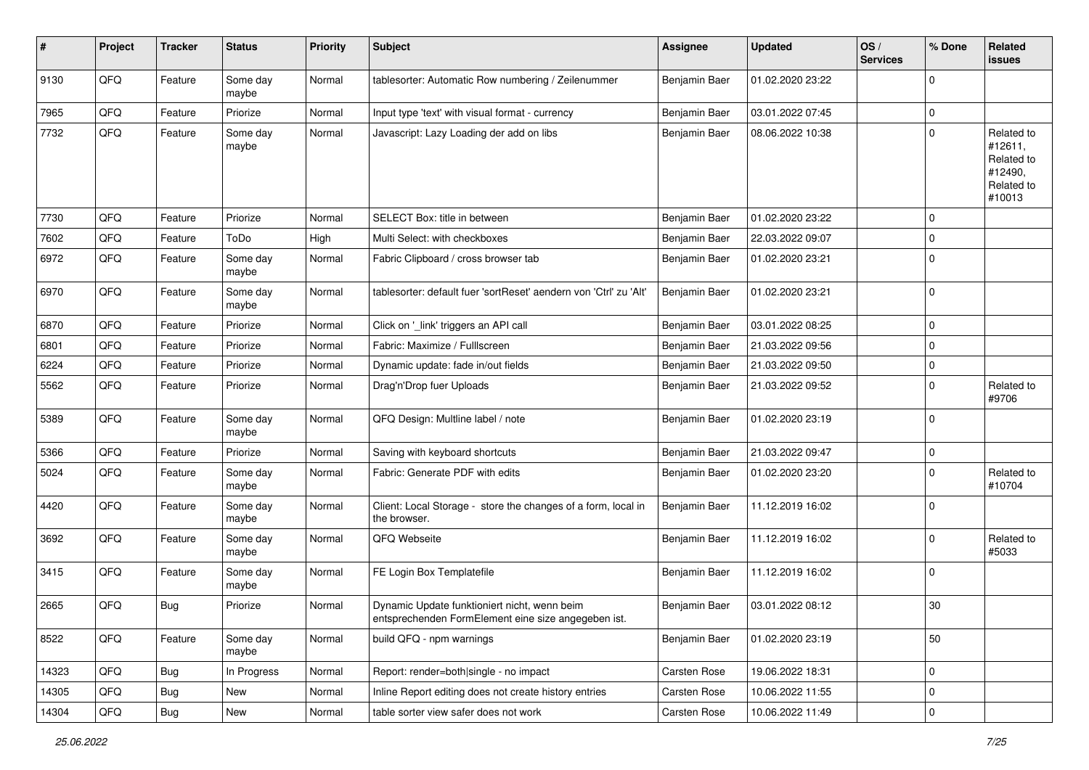| #     | Project        | <b>Tracker</b> | <b>Status</b>     | <b>Priority</b> | <b>Subject</b>                                                                                      | <b>Assignee</b> | <b>Updated</b>   | OS/<br><b>Services</b> | % Done      | Related<br>issues                                                      |
|-------|----------------|----------------|-------------------|-----------------|-----------------------------------------------------------------------------------------------------|-----------------|------------------|------------------------|-------------|------------------------------------------------------------------------|
| 9130  | QFQ            | Feature        | Some day<br>maybe | Normal          | tablesorter: Automatic Row numbering / Zeilenummer                                                  | Benjamin Baer   | 01.02.2020 23:22 |                        | 0           |                                                                        |
| 7965  | QFQ            | Feature        | Priorize          | Normal          | Input type 'text' with visual format - currency                                                     | Benjamin Baer   | 03.01.2022 07:45 |                        | $\mathbf 0$ |                                                                        |
| 7732  | QFQ            | Feature        | Some day<br>maybe | Normal          | Javascript: Lazy Loading der add on libs                                                            | Benjamin Baer   | 08.06.2022 10:38 |                        | 0           | Related to<br>#12611,<br>Related to<br>#12490,<br>Related to<br>#10013 |
| 7730  | QFQ            | Feature        | Priorize          | Normal          | SELECT Box: title in between                                                                        | Benjamin Baer   | 01.02.2020 23:22 |                        | $\mathbf 0$ |                                                                        |
| 7602  | QFQ            | Feature        | ToDo              | High            | Multi Select: with checkboxes                                                                       | Benjamin Baer   | 22.03.2022 09:07 |                        | 0           |                                                                        |
| 6972  | QFQ            | Feature        | Some day<br>maybe | Normal          | Fabric Clipboard / cross browser tab                                                                | Benjamin Baer   | 01.02.2020 23:21 |                        | 0           |                                                                        |
| 6970  | QFQ            | Feature        | Some day<br>maybe | Normal          | tablesorter: default fuer 'sortReset' aendern von 'Ctrl' zu 'Alt'                                   | Benjamin Baer   | 01.02.2020 23:21 |                        | $\mathbf 0$ |                                                                        |
| 6870  | QFQ            | Feature        | Priorize          | Normal          | Click on '_link' triggers an API call                                                               | Benjamin Baer   | 03.01.2022 08:25 |                        | 0           |                                                                        |
| 6801  | QFQ            | Feature        | Priorize          | Normal          | Fabric: Maximize / FullIscreen                                                                      | Benjamin Baer   | 21.03.2022 09:56 |                        | $\mathbf 0$ |                                                                        |
| 6224  | QFQ            | Feature        | Priorize          | Normal          | Dynamic update: fade in/out fields                                                                  | Benjamin Baer   | 21.03.2022 09:50 |                        | 0           |                                                                        |
| 5562  | QFQ            | Feature        | Priorize          | Normal          | Drag'n'Drop fuer Uploads                                                                            | Benjamin Baer   | 21.03.2022 09:52 |                        | $\mathbf 0$ | Related to<br>#9706                                                    |
| 5389  | QFQ            | Feature        | Some day<br>maybe | Normal          | QFQ Design: Multline label / note                                                                   | Benjamin Baer   | 01.02.2020 23:19 |                        | $\mathbf 0$ |                                                                        |
| 5366  | QFQ            | Feature        | Priorize          | Normal          | Saving with keyboard shortcuts                                                                      | Benjamin Baer   | 21.03.2022 09:47 |                        | 0           |                                                                        |
| 5024  | QFQ            | Feature        | Some day<br>maybe | Normal          | Fabric: Generate PDF with edits                                                                     | Benjamin Baer   | 01.02.2020 23:20 |                        | 0           | Related to<br>#10704                                                   |
| 4420  | QFQ            | Feature        | Some day<br>maybe | Normal          | Client: Local Storage - store the changes of a form, local in<br>the browser.                       | Benjamin Baer   | 11.12.2019 16:02 |                        | $\mathbf 0$ |                                                                        |
| 3692  | QFQ            | Feature        | Some day<br>maybe | Normal          | QFQ Webseite                                                                                        | Benjamin Baer   | 11.12.2019 16:02 |                        | $\mathbf 0$ | Related to<br>#5033                                                    |
| 3415  | QFQ            | Feature        | Some day<br>maybe | Normal          | FE Login Box Templatefile                                                                           | Benjamin Baer   | 11.12.2019 16:02 |                        | $\mathbf 0$ |                                                                        |
| 2665  | QFQ            | Bug            | Priorize          | Normal          | Dynamic Update funktioniert nicht, wenn beim<br>entsprechenden FormElement eine size angegeben ist. | Benjamin Baer   | 03.01.2022 08:12 |                        | 30          |                                                                        |
| 8522  | QFQ            | Feature        | Some day<br>maybe | Normal          | build QFQ - npm warnings                                                                            | Benjamin Baer   | 01.02.2020 23:19 |                        | 50          |                                                                        |
| 14323 | QFQ            | Bug            | In Progress       | Normal          | Report: render=both single - no impact                                                              | Carsten Rose    | 19.06.2022 18:31 |                        | $\mathbf 0$ |                                                                        |
| 14305 | QFQ            | <b>Bug</b>     | New               | Normal          | Inline Report editing does not create history entries                                               | Carsten Rose    | 10.06.2022 11:55 |                        | 0           |                                                                        |
| 14304 | $\mathsf{QFQ}$ | Bug            | New               | Normal          | table sorter view safer does not work                                                               | Carsten Rose    | 10.06.2022 11:49 |                        | 0           |                                                                        |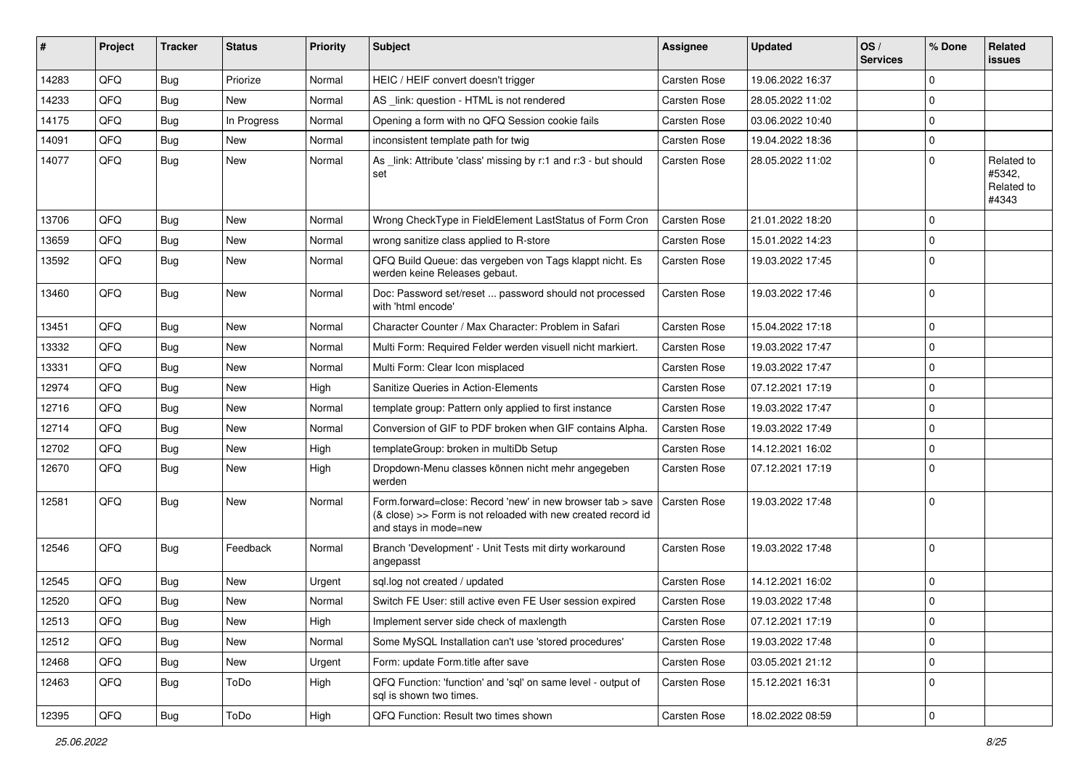| #     | Project | <b>Tracker</b> | <b>Status</b> | <b>Priority</b> | <b>Subject</b>                                                                                                                                      | <b>Assignee</b>     | <b>Updated</b>   | OS/<br><b>Services</b> | % Done       | Related<br><b>issues</b>                    |
|-------|---------|----------------|---------------|-----------------|-----------------------------------------------------------------------------------------------------------------------------------------------------|---------------------|------------------|------------------------|--------------|---------------------------------------------|
| 14283 | QFQ     | <b>Bug</b>     | Priorize      | Normal          | HEIC / HEIF convert doesn't trigger                                                                                                                 | Carsten Rose        | 19.06.2022 16:37 |                        | $\Omega$     |                                             |
| 14233 | QFQ     | <b>Bug</b>     | New           | Normal          | AS _link: question - HTML is not rendered                                                                                                           | Carsten Rose        | 28.05.2022 11:02 |                        | $\Omega$     |                                             |
| 14175 | QFQ     | <b>Bug</b>     | In Progress   | Normal          | Opening a form with no QFQ Session cookie fails                                                                                                     | Carsten Rose        | 03.06.2022 10:40 |                        | $\Omega$     |                                             |
| 14091 | QFQ     | <b>Bug</b>     | <b>New</b>    | Normal          | inconsistent template path for twig                                                                                                                 | Carsten Rose        | 19.04.2022 18:36 |                        | $\Omega$     |                                             |
| 14077 | QFQ     | <b>Bug</b>     | New           | Normal          | As _link: Attribute 'class' missing by r:1 and r:3 - but should<br>set                                                                              | Carsten Rose        | 28.05.2022 11:02 |                        | $\Omega$     | Related to<br>#5342,<br>Related to<br>#4343 |
| 13706 | QFQ     | <b>Bug</b>     | <b>New</b>    | Normal          | Wrong CheckType in FieldElement LastStatus of Form Cron                                                                                             | <b>Carsten Rose</b> | 21.01.2022 18:20 |                        | $\Omega$     |                                             |
| 13659 | QFQ     | <b>Bug</b>     | <b>New</b>    | Normal          | wrong sanitize class applied to R-store                                                                                                             | Carsten Rose        | 15.01.2022 14:23 |                        | $\Omega$     |                                             |
| 13592 | QFQ     | <b>Bug</b>     | New           | Normal          | QFQ Build Queue: das vergeben von Tags klappt nicht. Es<br>werden keine Releases gebaut.                                                            | Carsten Rose        | 19.03.2022 17:45 |                        | $\Omega$     |                                             |
| 13460 | QFQ     | <b>Bug</b>     | New           | Normal          | Doc: Password set/reset  password should not processed<br>with 'html encode'                                                                        | Carsten Rose        | 19.03.2022 17:46 |                        | $\Omega$     |                                             |
| 13451 | QFQ     | <b>Bug</b>     | <b>New</b>    | Normal          | Character Counter / Max Character: Problem in Safari                                                                                                | Carsten Rose        | 15.04.2022 17:18 |                        | $\Omega$     |                                             |
| 13332 | QFQ     | <b>Bug</b>     | <b>New</b>    | Normal          | Multi Form: Required Felder werden visuell nicht markiert.                                                                                          | Carsten Rose        | 19.03.2022 17:47 |                        | $\Omega$     |                                             |
| 13331 | QFQ     | <b>Bug</b>     | <b>New</b>    | Normal          | Multi Form: Clear Icon misplaced                                                                                                                    | Carsten Rose        | 19.03.2022 17:47 |                        | $\Omega$     |                                             |
| 12974 | QFQ     | <b>Bug</b>     | <b>New</b>    | High            | Sanitize Queries in Action-Elements                                                                                                                 | Carsten Rose        | 07.12.2021 17:19 |                        | $\mathbf{0}$ |                                             |
| 12716 | QFQ     | <b>Bug</b>     | <b>New</b>    | Normal          | template group: Pattern only applied to first instance                                                                                              | Carsten Rose        | 19.03.2022 17:47 |                        | $\mathbf 0$  |                                             |
| 12714 | QFQ     | <b>Bug</b>     | <b>New</b>    | Normal          | Conversion of GIF to PDF broken when GIF contains Alpha.                                                                                            | Carsten Rose        | 19.03.2022 17:49 |                        | $\Omega$     |                                             |
| 12702 | QFQ     | <b>Bug</b>     | New           | High            | templateGroup: broken in multiDb Setup                                                                                                              | Carsten Rose        | 14.12.2021 16:02 |                        | $\Omega$     |                                             |
| 12670 | QFQ     | <b>Bug</b>     | New           | High            | Dropdown-Menu classes können nicht mehr angegeben<br>werden                                                                                         | Carsten Rose        | 07.12.2021 17:19 |                        | $\Omega$     |                                             |
| 12581 | QFQ     | Bug            | <b>New</b>    | Normal          | Form.forward=close: Record 'new' in new browser tab > save<br>(& close) >> Form is not reloaded with new created record id<br>and stays in mode=new | Carsten Rose        | 19.03.2022 17:48 |                        | $\Omega$     |                                             |
| 12546 | QFQ     | Bug            | Feedback      | Normal          | Branch 'Development' - Unit Tests mit dirty workaround<br>angepasst                                                                                 | Carsten Rose        | 19.03.2022 17:48 |                        | $\Omega$     |                                             |
| 12545 | QFQ     | <b>Bug</b>     | <b>New</b>    | Urgent          | sql.log not created / updated                                                                                                                       | Carsten Rose        | 14.12.2021 16:02 |                        | $\mathbf{0}$ |                                             |
| 12520 | QFQ     | <b>Bug</b>     | New           | Normal          | Switch FE User: still active even FE User session expired                                                                                           | Carsten Rose        | 19.03.2022 17:48 |                        | $\Omega$     |                                             |
| 12513 | QFQ     | Bug            | New           | High            | Implement server side check of maxlength                                                                                                            | Carsten Rose        | 07.12.2021 17:19 |                        | 0            |                                             |
| 12512 | QFQ     | <b>Bug</b>     | New           | Normal          | Some MySQL Installation can't use 'stored procedures'                                                                                               | Carsten Rose        | 19.03.2022 17:48 |                        | $\mathbf 0$  |                                             |
| 12468 | QFQ     | <b>Bug</b>     | New           | Urgent          | Form: update Form.title after save                                                                                                                  | Carsten Rose        | 03.05.2021 21:12 |                        | 0            |                                             |
| 12463 | QFQ     | Bug            | ToDo          | High            | QFQ Function: 'function' and 'sql' on same level - output of<br>sql is shown two times.                                                             | Carsten Rose        | 15.12.2021 16:31 |                        | l 0          |                                             |
| 12395 | QFQ     | Bug            | ToDo          | High            | QFQ Function: Result two times shown                                                                                                                | Carsten Rose        | 18.02.2022 08:59 |                        | 0            |                                             |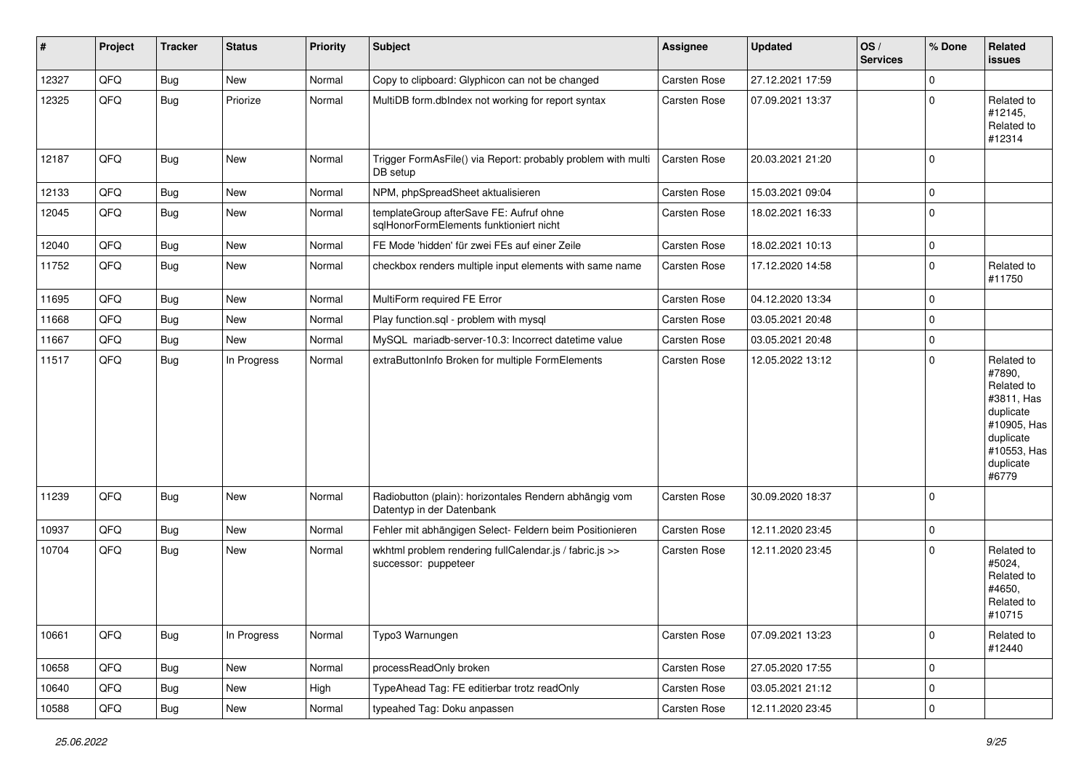| $\vert$ # | Project | <b>Tracker</b> | <b>Status</b> | <b>Priority</b> | <b>Subject</b>                                                                      | Assignee            | <b>Updated</b>   | OS/<br><b>Services</b> | % Done      | Related<br>issues                                                                                                              |
|-----------|---------|----------------|---------------|-----------------|-------------------------------------------------------------------------------------|---------------------|------------------|------------------------|-------------|--------------------------------------------------------------------------------------------------------------------------------|
| 12327     | QFQ     | Bug            | New           | Normal          | Copy to clipboard: Glyphicon can not be changed                                     | Carsten Rose        | 27.12.2021 17:59 |                        | $\Omega$    |                                                                                                                                |
| 12325     | QFQ     | Bug            | Priorize      | Normal          | MultiDB form.dblndex not working for report syntax                                  | Carsten Rose        | 07.09.2021 13:37 |                        | $\Omega$    | Related to<br>#12145,<br>Related to<br>#12314                                                                                  |
| 12187     | QFQ     | <b>Bug</b>     | <b>New</b>    | Normal          | Trigger FormAsFile() via Report: probably problem with multi<br>DB setup            | <b>Carsten Rose</b> | 20.03.2021 21:20 |                        | l 0         |                                                                                                                                |
| 12133     | QFQ     | Bug            | New           | Normal          | NPM, phpSpreadSheet aktualisieren                                                   | Carsten Rose        | 15.03.2021 09:04 |                        | $\mathbf 0$ |                                                                                                                                |
| 12045     | QFQ     | Bug            | <b>New</b>    | Normal          | templateGroup afterSave FE: Aufruf ohne<br>sqlHonorFormElements funktioniert nicht  | Carsten Rose        | 18.02.2021 16:33 |                        | $\Omega$    |                                                                                                                                |
| 12040     | QFQ     | Bug            | New           | Normal          | FE Mode 'hidden' für zwei FEs auf einer Zeile                                       | Carsten Rose        | 18.02.2021 10:13 |                        | $\mathbf 0$ |                                                                                                                                |
| 11752     | QFQ     | <b>Bug</b>     | <b>New</b>    | Normal          | checkbox renders multiple input elements with same name                             | Carsten Rose        | 17.12.2020 14:58 |                        | $\Omega$    | Related to<br>#11750                                                                                                           |
| 11695     | QFQ     | Bug            | <b>New</b>    | Normal          | MultiForm required FE Error                                                         | Carsten Rose        | 04.12.2020 13:34 |                        | l 0         |                                                                                                                                |
| 11668     | QFQ     | Bug            | <b>New</b>    | Normal          | Play function.sql - problem with mysql                                              | Carsten Rose        | 03.05.2021 20:48 |                        | $\mathbf 0$ |                                                                                                                                |
| 11667     | QFQ     | Bug            | New           | Normal          | MySQL mariadb-server-10.3: Incorrect datetime value                                 | Carsten Rose        | 03.05.2021 20:48 |                        | $\mathbf 0$ |                                                                                                                                |
| 11517     | QFQ     | <b>Bug</b>     | In Progress   | Normal          | extraButtonInfo Broken for multiple FormElements                                    | Carsten Rose        | 12.05.2022 13:12 |                        | $\Omega$    | Related to<br>#7890,<br>Related to<br>#3811, Has<br>duplicate<br>#10905, Has<br>duplicate<br>#10553, Has<br>duplicate<br>#6779 |
| 11239     | QFQ     | Bug            | <b>New</b>    | Normal          | Radiobutton (plain): horizontales Rendern abhängig vom<br>Datentyp in der Datenbank | Carsten Rose        | 30.09.2020 18:37 |                        | l 0         |                                                                                                                                |
| 10937     | QFQ     | Bug            | New           | Normal          | Fehler mit abhängigen Select- Feldern beim Positionieren                            | Carsten Rose        | 12.11.2020 23:45 |                        | $\mathbf 0$ |                                                                                                                                |
| 10704     | QFQ     | <b>Bug</b>     | <b>New</b>    | Normal          | wkhtml problem rendering fullCalendar.js / fabric.js >><br>successor: puppeteer     | Carsten Rose        | 12.11.2020 23:45 |                        | $\Omega$    | Related to<br>#5024,<br>Related to<br>#4650,<br>Related to<br>#10715                                                           |
| 10661     | QFQ     | <b>Bug</b>     | In Progress   | Normal          | Typo3 Warnungen                                                                     | Carsten Rose        | 07.09.2021 13:23 |                        | 0           | Related to<br>#12440                                                                                                           |
| 10658     | QFQ     | <b>Bug</b>     | New           | Normal          | processReadOnly broken                                                              | Carsten Rose        | 27.05.2020 17:55 |                        | 0           |                                                                                                                                |
| 10640     | QFQ     | <b>Bug</b>     | New           | High            | TypeAhead Tag: FE editierbar trotz readOnly                                         | Carsten Rose        | 03.05.2021 21:12 |                        | $\mathbf 0$ |                                                                                                                                |
| 10588     | QFG     | Bug            | New           | Normal          | typeahed Tag: Doku anpassen                                                         | Carsten Rose        | 12.11.2020 23:45 |                        | $\mathbf 0$ |                                                                                                                                |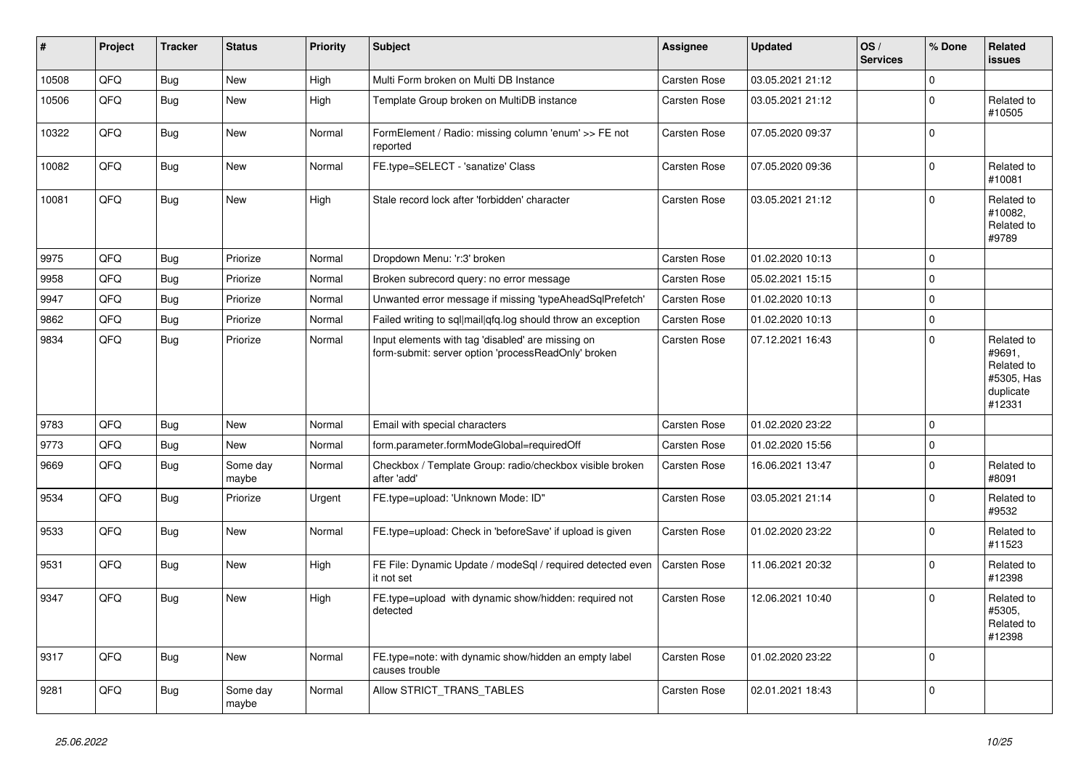| #     | Project | <b>Tracker</b> | <b>Status</b>     | <b>Priority</b> | <b>Subject</b>                                                                                           | <b>Assignee</b>     | <b>Updated</b>   | OS/<br><b>Services</b> | % Done      | <b>Related</b><br><b>issues</b>                                         |
|-------|---------|----------------|-------------------|-----------------|----------------------------------------------------------------------------------------------------------|---------------------|------------------|------------------------|-------------|-------------------------------------------------------------------------|
| 10508 | QFQ     | Bug            | <b>New</b>        | High            | Multi Form broken on Multi DB Instance                                                                   | <b>Carsten Rose</b> | 03.05.2021 21:12 |                        | $\mathbf 0$ |                                                                         |
| 10506 | QFQ     | Bug            | New               | High            | Template Group broken on MultiDB instance                                                                | Carsten Rose        | 03.05.2021 21:12 |                        | 0 I         | Related to<br>#10505                                                    |
| 10322 | QFQ     | <b>Bug</b>     | New               | Normal          | FormElement / Radio: missing column 'enum' >> FE not<br>reported                                         | <b>Carsten Rose</b> | 07.05.2020 09:37 |                        | l O         |                                                                         |
| 10082 | QFQ     | Bug            | New               | Normal          | FE.type=SELECT - 'sanatize' Class                                                                        | <b>Carsten Rose</b> | 07.05.2020 09:36 |                        | $\Omega$    | Related to<br>#10081                                                    |
| 10081 | QFQ     | Bug            | <b>New</b>        | High            | Stale record lock after 'forbidden' character                                                            | Carsten Rose        | 03.05.2021 21:12 |                        | $\Omega$    | Related to<br>#10082,<br>Related to<br>#9789                            |
| 9975  | QFQ     | Bug            | Priorize          | Normal          | Dropdown Menu: 'r:3' broken                                                                              | <b>Carsten Rose</b> | 01.02.2020 10:13 |                        | l o         |                                                                         |
| 9958  | QFQ     | <b>Bug</b>     | Priorize          | Normal          | Broken subrecord query: no error message                                                                 | <b>Carsten Rose</b> | 05.02.2021 15:15 |                        | l O         |                                                                         |
| 9947  | QFQ     | Bug            | Priorize          | Normal          | Unwanted error message if missing 'typeAheadSqlPrefetch'                                                 | <b>Carsten Rose</b> | 01.02.2020 10:13 |                        | $\mathbf 0$ |                                                                         |
| 9862  | QFQ     | <b>Bug</b>     | Priorize          | Normal          | Failed writing to sql mail qfq.log should throw an exception                                             | <b>Carsten Rose</b> | 01.02.2020 10:13 |                        | l 0         |                                                                         |
| 9834  | QFQ     | Bug            | Priorize          | Normal          | Input elements with tag 'disabled' are missing on<br>form-submit: server option 'processReadOnly' broken | Carsten Rose        | 07.12.2021 16:43 |                        | $\Omega$    | Related to<br>#9691,<br>Related to<br>#5305, Has<br>duplicate<br>#12331 |
| 9783  | QFQ     | Bug            | New               | Normal          | Email with special characters                                                                            | <b>Carsten Rose</b> | 01.02.2020 23:22 |                        | $\mathbf 0$ |                                                                         |
| 9773  | QFQ     | <b>Bug</b>     | New               | Normal          | form.parameter.formModeGlobal=requiredOff                                                                | <b>Carsten Rose</b> | 01.02.2020 15:56 |                        | $\mathbf 0$ |                                                                         |
| 9669  | QFQ     | Bug            | Some day<br>maybe | Normal          | Checkbox / Template Group: radio/checkbox visible broken<br>after 'add'                                  | <b>Carsten Rose</b> | 16.06.2021 13:47 |                        | $\mathbf 0$ | Related to<br>#8091                                                     |
| 9534  | QFQ     | <b>Bug</b>     | Priorize          | Urgent          | FE.type=upload: 'Unknown Mode: ID"                                                                       | Carsten Rose        | 03.05.2021 21:14 |                        | $\Omega$    | Related to<br>#9532                                                     |
| 9533  | QFQ     | <b>Bug</b>     | <b>New</b>        | Normal          | FE.type=upload: Check in 'beforeSave' if upload is given                                                 | <b>Carsten Rose</b> | 01.02.2020 23:22 |                        | $\Omega$    | Related to<br>#11523                                                    |
| 9531  | QFQ     | Bug            | New               | High            | FE File: Dynamic Update / modeSql / required detected even<br>it not set                                 | <b>Carsten Rose</b> | 11.06.2021 20:32 |                        | $\mathbf 0$ | Related to<br>#12398                                                    |
| 9347  | QFQ     | Bug            | New               | High            | FE.type=upload with dynamic show/hidden: required not<br>detected                                        | Carsten Rose        | 12.06.2021 10:40 |                        | $\Omega$    | Related to<br>#5305.<br>Related to<br>#12398                            |
| 9317  | QFQ     | Bug            | <b>New</b>        | Normal          | FE.type=note: with dynamic show/hidden an empty label<br>causes trouble                                  | Carsten Rose        | 01.02.2020 23:22 |                        | ١o          |                                                                         |
| 9281  | QFQ     | Bug            | Some day<br>maybe | Normal          | Allow STRICT TRANS TABLES                                                                                | <b>Carsten Rose</b> | 02.01.2021 18:43 |                        | l O         |                                                                         |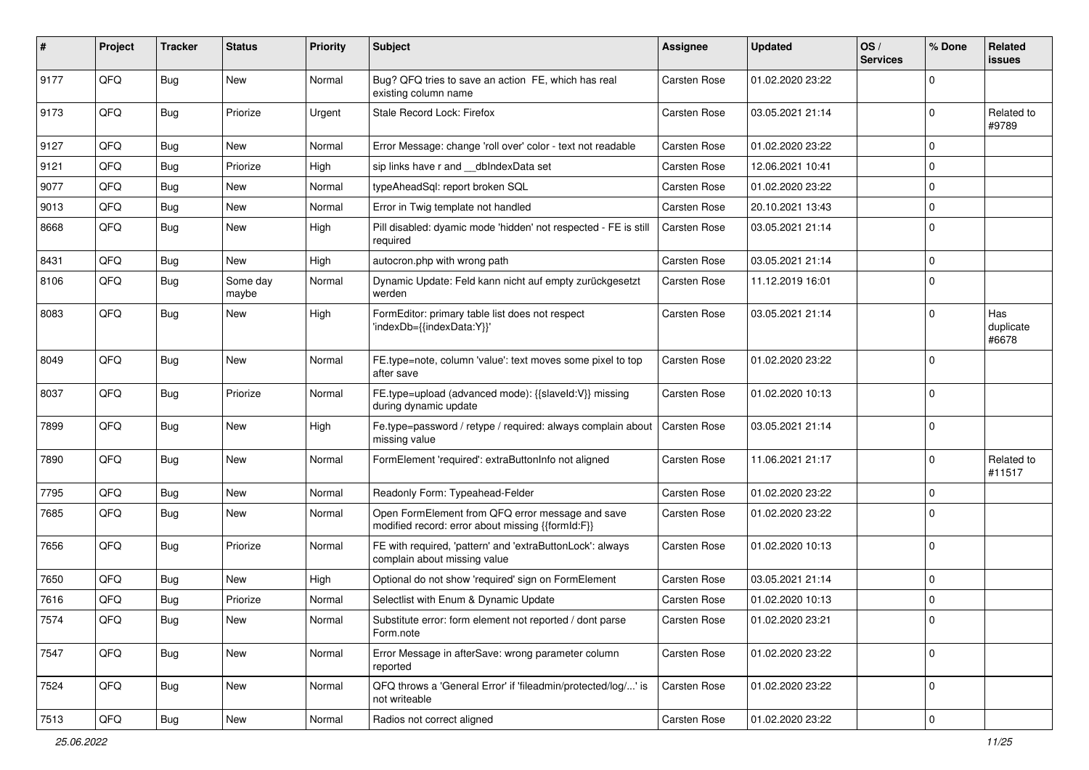| #    | Project | <b>Tracker</b> | <b>Status</b>     | <b>Priority</b> | <b>Subject</b>                                                                                        | Assignee     | <b>Updated</b>   | OS/<br><b>Services</b> | % Done       | Related<br><b>issues</b>  |
|------|---------|----------------|-------------------|-----------------|-------------------------------------------------------------------------------------------------------|--------------|------------------|------------------------|--------------|---------------------------|
| 9177 | QFQ     | Bug            | <b>New</b>        | Normal          | Bug? QFQ tries to save an action FE, which has real<br>existing column name                           | Carsten Rose | 01.02.2020 23:22 |                        | 0            |                           |
| 9173 | QFQ     | Bug            | Priorize          | Urgent          | Stale Record Lock: Firefox                                                                            | Carsten Rose | 03.05.2021 21:14 |                        | 0            | Related to<br>#9789       |
| 9127 | QFQ     | <b>Bug</b>     | <b>New</b>        | Normal          | Error Message: change 'roll over' color - text not readable                                           | Carsten Rose | 01.02.2020 23:22 |                        | 0            |                           |
| 9121 | QFQ     | <b>Bug</b>     | Priorize          | High            | sip links have r and __dbIndexData set                                                                | Carsten Rose | 12.06.2021 10:41 |                        | 0            |                           |
| 9077 | QFQ     | <b>Bug</b>     | New               | Normal          | typeAheadSql: report broken SQL                                                                       | Carsten Rose | 01.02.2020 23:22 |                        | 0            |                           |
| 9013 | QFQ     | <b>Bug</b>     | <b>New</b>        | Normal          | Error in Twig template not handled                                                                    | Carsten Rose | 20.10.2021 13:43 |                        | 0            |                           |
| 8668 | QFQ     | <b>Bug</b>     | <b>New</b>        | High            | Pill disabled: dyamic mode 'hidden' not respected - FE is still<br>required                           | Carsten Rose | 03.05.2021 21:14 |                        | 0            |                           |
| 8431 | QFQ     | <b>Bug</b>     | <b>New</b>        | High            | autocron.php with wrong path                                                                          | Carsten Rose | 03.05.2021 21:14 |                        | 0            |                           |
| 8106 | QFQ     | <b>Bug</b>     | Some day<br>maybe | Normal          | Dynamic Update: Feld kann nicht auf empty zurückgesetzt<br>werden                                     | Carsten Rose | 11.12.2019 16:01 |                        | 0            |                           |
| 8083 | QFQ     | Bug            | New               | High            | FormEditor: primary table list does not respect<br>'indexDb={{indexData:Y}}'                          | Carsten Rose | 03.05.2021 21:14 |                        | 0            | Has<br>duplicate<br>#6678 |
| 8049 | QFQ     | Bug            | <b>New</b>        | Normal          | FE.type=note, column 'value': text moves some pixel to top<br>after save                              | Carsten Rose | 01.02.2020 23:22 |                        | 0            |                           |
| 8037 | QFQ     | Bug            | Priorize          | Normal          | FE.type=upload (advanced mode): {{slaveId:V}} missing<br>during dynamic update                        | Carsten Rose | 01.02.2020 10:13 |                        | 0            |                           |
| 7899 | QFQ     | Bug            | <b>New</b>        | High            | Fe.type=password / retype / required: always complain about<br>missing value                          | Carsten Rose | 03.05.2021 21:14 |                        | 0            |                           |
| 7890 | QFQ     | <b>Bug</b>     | New               | Normal          | FormElement 'required': extraButtonInfo not aligned                                                   | Carsten Rose | 11.06.2021 21:17 |                        | $\mathbf 0$  | Related to<br>#11517      |
| 7795 | QFQ     | <b>Bug</b>     | <b>New</b>        | Normal          | Readonly Form: Typeahead-Felder                                                                       | Carsten Rose | 01.02.2020 23:22 |                        | $\mathbf 0$  |                           |
| 7685 | QFQ     | Bug            | <b>New</b>        | Normal          | Open FormElement from QFQ error message and save<br>modified record: error about missing {{formId:F}} | Carsten Rose | 01.02.2020 23:22 |                        | 0            |                           |
| 7656 | QFQ     | Bug            | Priorize          | Normal          | FE with required, 'pattern' and 'extraButtonLock': always<br>complain about missing value             | Carsten Rose | 01.02.2020 10:13 |                        | 0            |                           |
| 7650 | QFQ     | <b>Bug</b>     | <b>New</b>        | High            | Optional do not show 'required' sign on FormElement                                                   | Carsten Rose | 03.05.2021 21:14 |                        | 0            |                           |
| 7616 | QFQ     | <b>Bug</b>     | Priorize          | Normal          | Selectlist with Enum & Dynamic Update                                                                 | Carsten Rose | 01.02.2020 10:13 |                        | 0            |                           |
| 7574 | QFQ     | Bug            | New               | Normal          | Substitute error: form element not reported / dont parse<br>Form.note                                 | Carsten Rose | 01.02.2020 23:21 |                        | 0            |                           |
| 7547 | QFQ     | Bug            | New               | Normal          | Error Message in afterSave: wrong parameter column<br>reported                                        | Carsten Rose | 01.02.2020 23:22 |                        | $\mathbf 0$  |                           |
| 7524 | QFQ     | <b>Bug</b>     | New               | Normal          | QFQ throws a 'General Error' if 'fileadmin/protected/log/' is<br>not writeable                        | Carsten Rose | 01.02.2020 23:22 |                        | $\mathbf 0$  |                           |
| 7513 | QFG     | Bug            | New               | Normal          | Radios not correct aligned                                                                            | Carsten Rose | 01.02.2020 23:22 |                        | $\mathsf{O}$ |                           |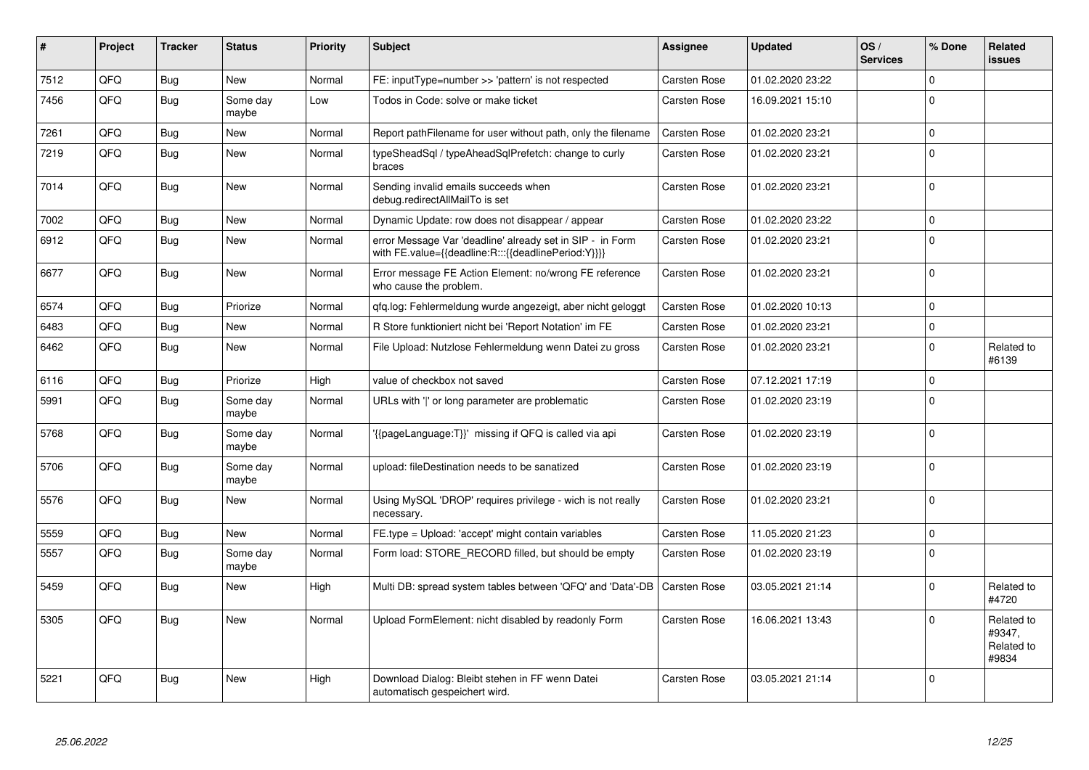| #    | Project | <b>Tracker</b> | <b>Status</b>     | <b>Priority</b> | <b>Subject</b>                                                                                                   | <b>Assignee</b>     | <b>Updated</b>   | OS/<br><b>Services</b> | % Done       | Related<br>issues                           |
|------|---------|----------------|-------------------|-----------------|------------------------------------------------------------------------------------------------------------------|---------------------|------------------|------------------------|--------------|---------------------------------------------|
| 7512 | QFQ     | <b>Bug</b>     | <b>New</b>        | Normal          | FE: inputType=number >> 'pattern' is not respected                                                               | Carsten Rose        | 01.02.2020 23:22 |                        | $\Omega$     |                                             |
| 7456 | QFQ     | Bug            | Some day<br>maybe | Low             | Todos in Code: solve or make ticket                                                                              | Carsten Rose        | 16.09.2021 15:10 |                        | $\Omega$     |                                             |
| 7261 | QFQ     | <b>Bug</b>     | New               | Normal          | Report pathFilename for user without path, only the filename                                                     | <b>Carsten Rose</b> | 01.02.2020 23:21 |                        | $\mathbf 0$  |                                             |
| 7219 | QFQ     | <b>Bug</b>     | <b>New</b>        | Normal          | typeSheadSgl / typeAheadSglPrefetch: change to curly<br>braces                                                   | Carsten Rose        | 01.02.2020 23:21 |                        | $\Omega$     |                                             |
| 7014 | QFQ     | Bug            | New               | Normal          | Sending invalid emails succeeds when<br>debug.redirectAllMailTo is set                                           | Carsten Rose        | 01.02.2020 23:21 |                        | $\Omega$     |                                             |
| 7002 | QFQ     | Bug            | New               | Normal          | Dynamic Update: row does not disappear / appear                                                                  | Carsten Rose        | 01.02.2020 23:22 |                        | $\mathbf 0$  |                                             |
| 6912 | QFQ     | <b>Bug</b>     | New               | Normal          | error Message Var 'deadline' already set in SIP - in Form<br>with FE.value={{deadline:R:::{{deadlinePeriod:Y}}}} | Carsten Rose        | 01.02.2020 23:21 |                        | $\Omega$     |                                             |
| 6677 | QFQ     | Bug            | New               | Normal          | Error message FE Action Element: no/wrong FE reference<br>who cause the problem.                                 | Carsten Rose        | 01.02.2020 23:21 |                        | $\mathbf 0$  |                                             |
| 6574 | QFQ     | <b>Bug</b>     | Priorize          | Normal          | gfg.log: Fehlermeldung wurde angezeigt, aber nicht geloggt                                                       | <b>Carsten Rose</b> | 01.02.2020 10:13 |                        | $\mathbf 0$  |                                             |
| 6483 | QFQ     | <b>Bug</b>     | <b>New</b>        | Normal          | R Store funktioniert nicht bei 'Report Notation' im FE                                                           | Carsten Rose        | 01.02.2020 23:21 |                        | $\mathbf{0}$ |                                             |
| 6462 | QFQ     | <b>Bug</b>     | New               | Normal          | File Upload: Nutzlose Fehlermeldung wenn Datei zu gross                                                          | Carsten Rose        | 01.02.2020 23:21 |                        | $\mathbf 0$  | Related to<br>#6139                         |
| 6116 | QFQ     | <b>Bug</b>     | Priorize          | High            | value of checkbox not saved                                                                                      | Carsten Rose        | 07.12.2021 17:19 |                        | $\mathbf{0}$ |                                             |
| 5991 | QFQ     | <b>Bug</b>     | Some day<br>maybe | Normal          | URLs with 'I' or long parameter are problematic                                                                  | Carsten Rose        | 01.02.2020 23:19 |                        | $\Omega$     |                                             |
| 5768 | QFQ     | Bug            | Some day<br>maybe | Normal          | {{pageLanguage:T}}' missing if QFQ is called via api                                                             | Carsten Rose        | 01.02.2020 23:19 |                        | $\mathbf 0$  |                                             |
| 5706 | QFQ     | <b>Bug</b>     | Some day<br>maybe | Normal          | upload: fileDestination needs to be sanatized                                                                    | Carsten Rose        | 01.02.2020 23:19 |                        | $\mathbf 0$  |                                             |
| 5576 | QFQ     | <b>Bug</b>     | New               | Normal          | Using MySQL 'DROP' requires privilege - wich is not really<br>necessary.                                         | Carsten Rose        | 01.02.2020 23:21 |                        | $\mathbf 0$  |                                             |
| 5559 | QFQ     | <b>Bug</b>     | <b>New</b>        | Normal          | FE.type = Upload: 'accept' might contain variables                                                               | Carsten Rose        | 11.05.2020 21:23 |                        | $\Omega$     |                                             |
| 5557 | QFQ     | <b>Bug</b>     | Some day<br>maybe | Normal          | Form load: STORE RECORD filled, but should be empty                                                              | Carsten Rose        | 01.02.2020 23:19 |                        | $\Omega$     |                                             |
| 5459 | QFQ     | <b>Bug</b>     | New               | High            | Multi DB: spread system tables between 'QFQ' and 'Data'-DB                                                       | <b>Carsten Rose</b> | 03.05.2021 21:14 |                        | $\mathbf 0$  | Related to<br>#4720                         |
| 5305 | QFQ     | Bug            | <b>New</b>        | Normal          | Upload FormElement: nicht disabled by readonly Form                                                              | Carsten Rose        | 16.06.2021 13:43 |                        | $\Omega$     | Related to<br>#9347,<br>Related to<br>#9834 |
| 5221 | QFQ     | Bug            | New               | High            | Download Dialog: Bleibt stehen in FF wenn Datei<br>automatisch gespeichert wird.                                 | <b>Carsten Rose</b> | 03.05.2021 21:14 |                        | $\Omega$     |                                             |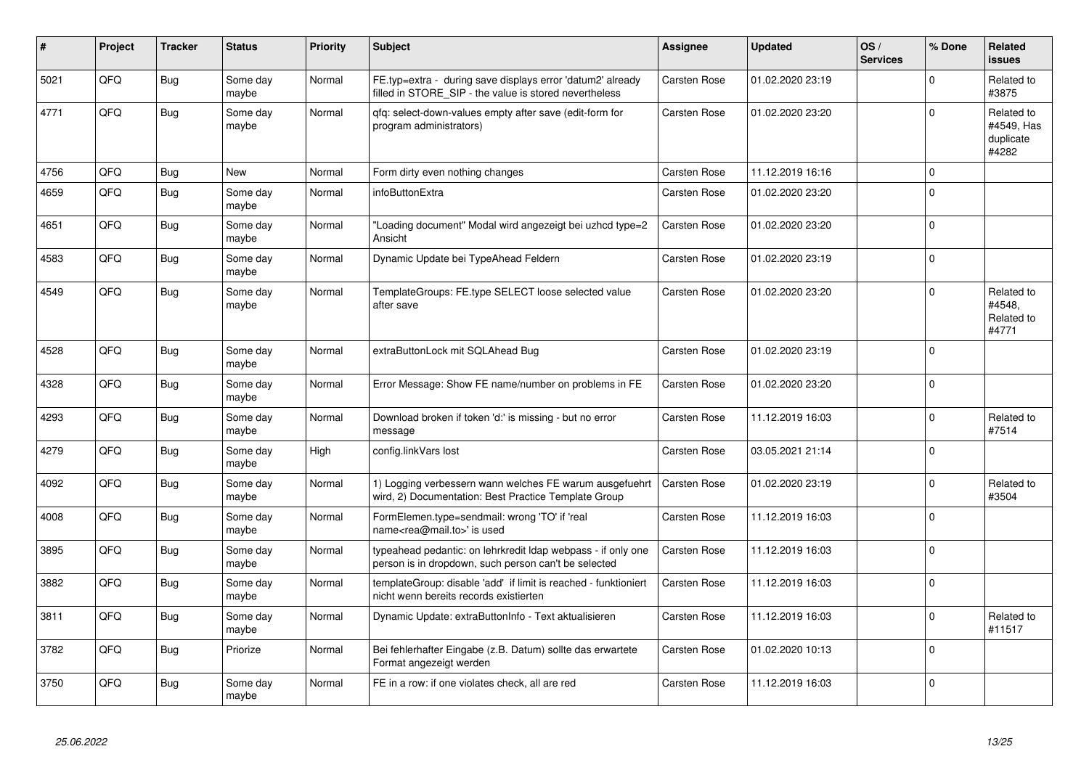| #    | Project | <b>Tracker</b> | <b>Status</b>     | <b>Priority</b> | <b>Subject</b>                                                                                                       | Assignee            | Updated          | OS/<br><b>Services</b> | % Done         | Related<br><b>issues</b>                       |
|------|---------|----------------|-------------------|-----------------|----------------------------------------------------------------------------------------------------------------------|---------------------|------------------|------------------------|----------------|------------------------------------------------|
| 5021 | QFQ     | <b>Bug</b>     | Some day<br>maybe | Normal          | FE.typ=extra - during save displays error 'datum2' already<br>filled in STORE_SIP - the value is stored nevertheless | <b>Carsten Rose</b> | 01.02.2020 23:19 |                        | $\Omega$       | Related to<br>#3875                            |
| 4771 | QFQ     | <b>Bug</b>     | Some day<br>maybe | Normal          | gfg: select-down-values empty after save (edit-form for<br>program administrators)                                   | Carsten Rose        | 01.02.2020 23:20 |                        | $\Omega$       | Related to<br>#4549, Has<br>duplicate<br>#4282 |
| 4756 | QFQ     | <b>Bug</b>     | <b>New</b>        | Normal          | Form dirty even nothing changes                                                                                      | Carsten Rose        | 11.12.2019 16:16 |                        | $\Omega$       |                                                |
| 4659 | QFQ     | Bug            | Some day<br>maybe | Normal          | infoButtonExtra                                                                                                      | <b>Carsten Rose</b> | 01.02.2020 23:20 |                        | $\Omega$       |                                                |
| 4651 | QFQ     | Bug            | Some day<br>maybe | Normal          | "Loading document" Modal wird angezeigt bei uzhcd type=2<br>Ansicht                                                  | <b>Carsten Rose</b> | 01.02.2020 23:20 |                        | $\Omega$       |                                                |
| 4583 | QFQ     | Bug            | Some day<br>maybe | Normal          | Dynamic Update bei TypeAhead Feldern                                                                                 | <b>Carsten Rose</b> | 01.02.2020 23:19 |                        | $\Omega$       |                                                |
| 4549 | QFQ     | <b>Bug</b>     | Some day<br>maybe | Normal          | TemplateGroups: FE.type SELECT loose selected value<br>after save                                                    | Carsten Rose        | 01.02.2020 23:20 |                        | $\Omega$       | Related to<br>#4548,<br>Related to<br>#4771    |
| 4528 | QFQ     | <b>Bug</b>     | Some day<br>maybe | Normal          | extraButtonLock mit SQLAhead Bug                                                                                     | Carsten Rose        | 01.02.2020 23:19 |                        | $\Omega$       |                                                |
| 4328 | QFQ     | <b>Bug</b>     | Some day<br>maybe | Normal          | Error Message: Show FE name/number on problems in FE                                                                 | <b>Carsten Rose</b> | 01.02.2020 23:20 |                        | $\Omega$       |                                                |
| 4293 | QFQ     | <b>Bug</b>     | Some day<br>maybe | Normal          | Download broken if token 'd:' is missing - but no error<br>message                                                   | Carsten Rose        | 11.12.2019 16:03 |                        | $\Omega$       | Related to<br>#7514                            |
| 4279 | QFQ     | <b>Bug</b>     | Some day<br>maybe | High            | config.linkVars lost                                                                                                 | <b>Carsten Rose</b> | 03.05.2021 21:14 |                        | 0              |                                                |
| 4092 | QFQ     | <b>Bug</b>     | Some day<br>maybe | Normal          | 1) Logging verbessern wann welches FE warum ausgefuehrt<br>wird, 2) Documentation: Best Practice Template Group      | <b>Carsten Rose</b> | 01.02.2020 23:19 |                        | $\Omega$       | Related to<br>#3504                            |
| 4008 | QFQ     | Bug            | Some day<br>maybe | Normal          | FormElemen.type=sendmail: wrong 'TO' if 'real<br>name <rea@mail.to>' is used</rea@mail.to>                           | Carsten Rose        | 11.12.2019 16:03 |                        | 0              |                                                |
| 3895 | QFQ     | Bug            | Some day<br>maybe | Normal          | typeahead pedantic: on lehrkredit Idap webpass - if only one<br>person is in dropdown, such person can't be selected | <b>Carsten Rose</b> | 11.12.2019 16:03 |                        | $\mathbf 0$    |                                                |
| 3882 | QFQ     | Bug            | Some day<br>maybe | Normal          | templateGroup: disable 'add' if limit is reached - funktioniert<br>nicht wenn bereits records existierten            | <b>Carsten Rose</b> | 11.12.2019 16:03 |                        | $\Omega$       |                                                |
| 3811 | QFQ     | <b>Bug</b>     | Some day<br>maybe | Normal          | Dynamic Update: extraButtonInfo - Text aktualisieren                                                                 | Carsten Rose        | 11.12.2019 16:03 |                        | $\Omega$       | Related to<br>#11517                           |
| 3782 | QFQ     | <b>Bug</b>     | Priorize          | Normal          | Bei fehlerhafter Eingabe (z.B. Datum) sollte das erwartete<br>Format angezeigt werden                                | Carsten Rose        | 01.02.2020 10:13 |                        | $\Omega$       |                                                |
| 3750 | QFQ     | <b>Bug</b>     | Some day<br>maybe | Normal          | FE in a row: if one violates check, all are red                                                                      | <b>Carsten Rose</b> | 11.12.2019 16:03 |                        | $\overline{0}$ |                                                |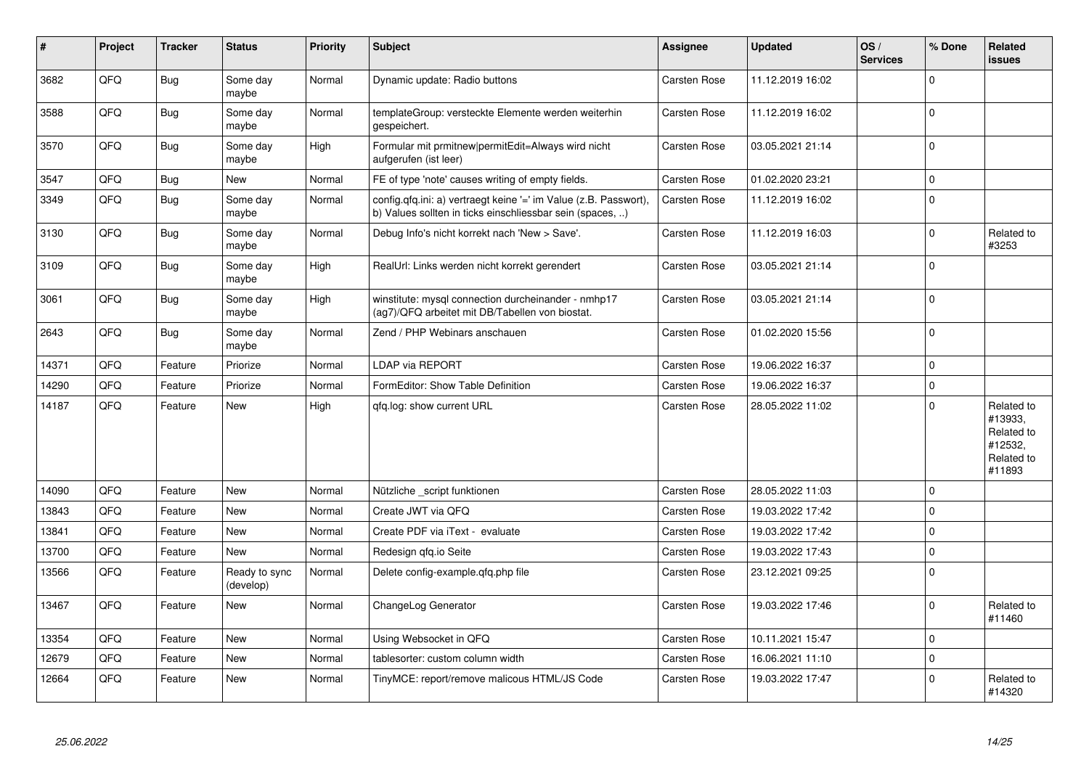| #     | Project | <b>Tracker</b> | <b>Status</b>              | <b>Priority</b> | <b>Subject</b>                                                                                                                | Assignee            | <b>Updated</b>   | OS/<br><b>Services</b> | % Done       | Related<br>issues                                                      |
|-------|---------|----------------|----------------------------|-----------------|-------------------------------------------------------------------------------------------------------------------------------|---------------------|------------------|------------------------|--------------|------------------------------------------------------------------------|
| 3682  | QFQ     | <b>Bug</b>     | Some day<br>maybe          | Normal          | Dynamic update: Radio buttons                                                                                                 | Carsten Rose        | 11.12.2019 16:02 |                        | 0            |                                                                        |
| 3588  | QFQ     | <b>Bug</b>     | Some day<br>maybe          | Normal          | templateGroup: versteckte Elemente werden weiterhin<br>gespeichert.                                                           | Carsten Rose        | 11.12.2019 16:02 |                        | $\mathbf{0}$ |                                                                        |
| 3570  | QFQ     | <b>Bug</b>     | Some day<br>maybe          | High            | Formular mit prmitnew permitEdit=Always wird nicht<br>aufgerufen (ist leer)                                                   | Carsten Rose        | 03.05.2021 21:14 |                        | $\Omega$     |                                                                        |
| 3547  | QFQ     | <b>Bug</b>     | New                        | Normal          | FE of type 'note' causes writing of empty fields.                                                                             | Carsten Rose        | 01.02.2020 23:21 |                        | $\Omega$     |                                                                        |
| 3349  | QFQ     | <b>Bug</b>     | Some day<br>maybe          | Normal          | config.qfq.ini: a) vertraegt keine '=' im Value (z.B. Passwort),<br>b) Values sollten in ticks einschliessbar sein (spaces, ) | Carsten Rose        | 11.12.2019 16:02 |                        | $\Omega$     |                                                                        |
| 3130  | QFQ     | Bug            | Some day<br>maybe          | Normal          | Debug Info's nicht korrekt nach 'New > Save'.                                                                                 | Carsten Rose        | 11.12.2019 16:03 |                        | $\Omega$     | Related to<br>#3253                                                    |
| 3109  | QFQ     | <b>Bug</b>     | Some day<br>maybe          | High            | RealUrl: Links werden nicht korrekt gerendert                                                                                 | Carsten Rose        | 03.05.2021 21:14 |                        | $\mathbf 0$  |                                                                        |
| 3061  | QFQ     | <b>Bug</b>     | Some day<br>maybe          | High            | winstitute: mysql connection durcheinander - nmhp17<br>(ag7)/QFQ arbeitet mit DB/Tabellen von biostat.                        | Carsten Rose        | 03.05.2021 21:14 |                        | $\mathbf{0}$ |                                                                        |
| 2643  | QFQ     | <b>Bug</b>     | Some day<br>maybe          | Normal          | Zend / PHP Webinars anschauen                                                                                                 | Carsten Rose        | 01.02.2020 15:56 |                        | $\mathbf 0$  |                                                                        |
| 14371 | QFQ     | Feature        | Priorize                   | Normal          | <b>LDAP via REPORT</b>                                                                                                        | Carsten Rose        | 19.06.2022 16:37 |                        | $\mathbf 0$  |                                                                        |
| 14290 | QFQ     | Feature        | Priorize                   | Normal          | FormEditor: Show Table Definition                                                                                             | Carsten Rose        | 19.06.2022 16:37 |                        | $\mathbf 0$  |                                                                        |
| 14187 | QFQ     | Feature        | New                        | High            | gfg.log: show current URL                                                                                                     | Carsten Rose        | 28.05.2022 11:02 |                        | $\Omega$     | Related to<br>#13933,<br>Related to<br>#12532,<br>Related to<br>#11893 |
| 14090 | QFQ     | Feature        | <b>New</b>                 | Normal          | Nützliche _script funktionen                                                                                                  | Carsten Rose        | 28.05.2022 11:03 |                        | $\Omega$     |                                                                        |
| 13843 | QFQ     | Feature        | <b>New</b>                 | Normal          | Create JWT via QFQ                                                                                                            | Carsten Rose        | 19.03.2022 17:42 |                        | $\mathbf{0}$ |                                                                        |
| 13841 | QFQ     | Feature        | <b>New</b>                 | Normal          | Create PDF via iText - evaluate                                                                                               | Carsten Rose        | 19.03.2022 17:42 |                        | $\Omega$     |                                                                        |
| 13700 | QFQ     | Feature        | New                        | Normal          | Redesign qfq.io Seite                                                                                                         | Carsten Rose        | 19.03.2022 17:43 |                        | $\mathbf 0$  |                                                                        |
| 13566 | QFQ     | Feature        | Ready to sync<br>(develop) | Normal          | Delete config-example.gfg.php file                                                                                            | Carsten Rose        | 23.12.2021 09:25 |                        | $\Omega$     |                                                                        |
| 13467 | QFQ     | Feature        | <b>New</b>                 | Normal          | ChangeLog Generator                                                                                                           | Carsten Rose        | 19.03.2022 17:46 |                        | $\Omega$     | Related to<br>#11460                                                   |
| 13354 | QFQ     | Feature        | <b>New</b>                 | Normal          | Using Websocket in QFQ                                                                                                        | Carsten Rose        | 10.11.2021 15:47 |                        | $\mathbf 0$  |                                                                        |
| 12679 | QFQ     | Feature        | New                        | Normal          | tablesorter: custom column width                                                                                              | <b>Carsten Rose</b> | 16.06.2021 11:10 |                        | $\Omega$     |                                                                        |
| 12664 | QFQ     | Feature        | <b>New</b>                 | Normal          | TinyMCE: report/remove malicous HTML/JS Code                                                                                  | Carsten Rose        | 19.03.2022 17:47 |                        | $\Omega$     | Related to<br>#14320                                                   |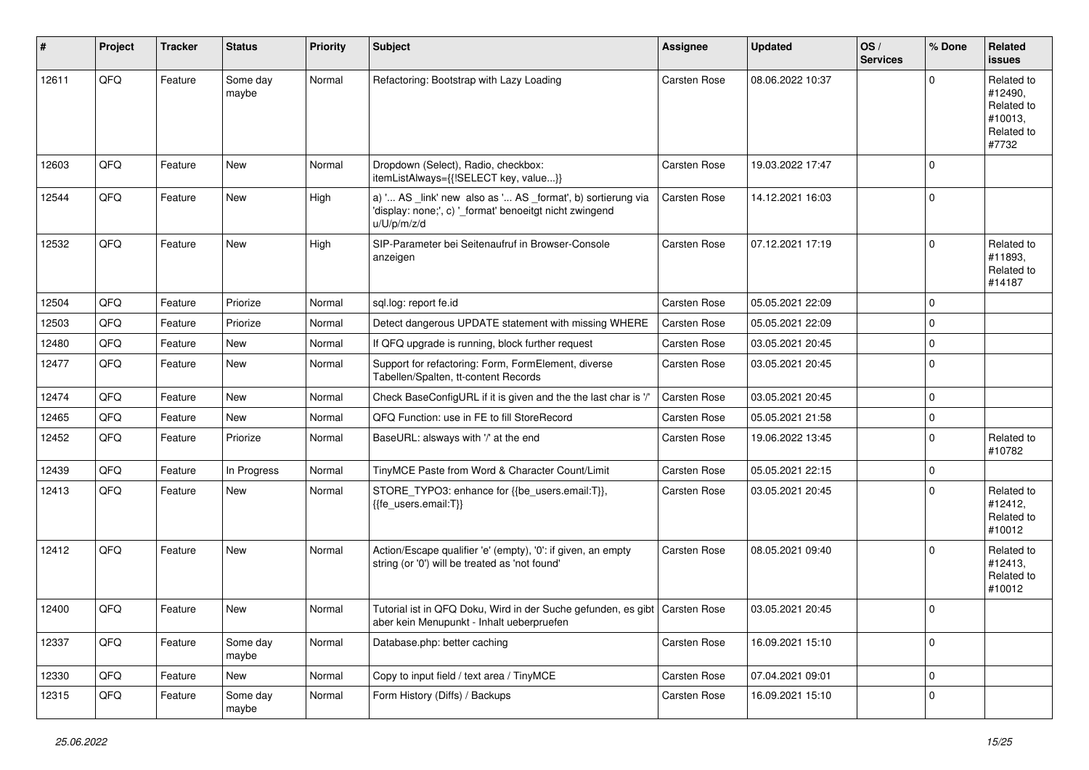| #     | Project | <b>Tracker</b> | <b>Status</b>     | <b>Priority</b> | <b>Subject</b>                                                                                                                        | <b>Assignee</b>     | <b>Updated</b>   | OS/<br><b>Services</b> | % Done      | Related<br><b>issues</b>                                              |
|-------|---------|----------------|-------------------|-----------------|---------------------------------------------------------------------------------------------------------------------------------------|---------------------|------------------|------------------------|-------------|-----------------------------------------------------------------------|
| 12611 | QFQ     | Feature        | Some day<br>maybe | Normal          | Refactoring: Bootstrap with Lazy Loading                                                                                              | <b>Carsten Rose</b> | 08.06.2022 10:37 |                        | $\Omega$    | Related to<br>#12490,<br>Related to<br>#10013,<br>Related to<br>#7732 |
| 12603 | QFQ     | Feature        | <b>New</b>        | Normal          | Dropdown (Select), Radio, checkbox:<br>itemListAlways={{!SELECT key, value}}                                                          | Carsten Rose        | 19.03.2022 17:47 |                        | l 0         |                                                                       |
| 12544 | QFQ     | Feature        | New               | High            | a) ' AS _link' new also as ' AS _format', b) sortierung via<br>'display: none;', c) '_format' benoeitgt nicht zwingend<br>u/U/p/m/z/d | <b>Carsten Rose</b> | 14.12.2021 16:03 |                        | l 0         |                                                                       |
| 12532 | QFQ     | Feature        | New               | High            | SIP-Parameter bei Seitenaufruf in Browser-Console<br>anzeigen                                                                         | <b>Carsten Rose</b> | 07.12.2021 17:19 |                        | l 0         | Related to<br>#11893,<br>Related to<br>#14187                         |
| 12504 | QFQ     | Feature        | Priorize          | Normal          | sql.log: report fe.id                                                                                                                 | <b>Carsten Rose</b> | 05.05.2021 22:09 |                        | $\mathbf 0$ |                                                                       |
| 12503 | QFQ     | Feature        | Priorize          | Normal          | Detect dangerous UPDATE statement with missing WHERE                                                                                  | <b>Carsten Rose</b> | 05.05.2021 22:09 |                        | $\Omega$    |                                                                       |
| 12480 | QFQ     | Feature        | New               | Normal          | If QFQ upgrade is running, block further request                                                                                      | <b>Carsten Rose</b> | 03.05.2021 20:45 |                        | $\mathbf 0$ |                                                                       |
| 12477 | QFQ     | Feature        | New               | Normal          | Support for refactoring: Form, FormElement, diverse<br>Tabellen/Spalten, tt-content Records                                           | Carsten Rose        | 03.05.2021 20:45 |                        | l 0         |                                                                       |
| 12474 | QFQ     | Feature        | <b>New</b>        | Normal          | Check BaseConfigURL if it is given and the the last char is '/'                                                                       | <b>Carsten Rose</b> | 03.05.2021 20:45 |                        | $\mathbf 0$ |                                                                       |
| 12465 | QFQ     | Feature        | New               | Normal          | QFQ Function: use in FE to fill StoreRecord                                                                                           | <b>Carsten Rose</b> | 05.05.2021 21:58 |                        | $\mathbf 0$ |                                                                       |
| 12452 | QFQ     | Feature        | Priorize          | Normal          | BaseURL: alsways with '/' at the end                                                                                                  | <b>Carsten Rose</b> | 19.06.2022 13:45 |                        | l 0         | Related to<br>#10782                                                  |
| 12439 | QFQ     | Feature        | In Progress       | Normal          | TinyMCE Paste from Word & Character Count/Limit                                                                                       | <b>Carsten Rose</b> | 05.05.2021 22:15 |                        | $\mathbf 0$ |                                                                       |
| 12413 | QFQ     | Feature        | New               | Normal          | STORE_TYPO3: enhance for {{be_users.email:T}},<br>{{fe_users.email:T}}                                                                | Carsten Rose        | 03.05.2021 20:45 |                        | $\Omega$    | Related to<br>#12412,<br>Related to<br>#10012                         |
| 12412 | QFQ     | Feature        | New               | Normal          | Action/Escape qualifier 'e' (empty), '0': if given, an empty<br>string (or '0') will be treated as 'not found'                        | Carsten Rose        | 08.05.2021 09:40 |                        | $\Omega$    | Related to<br>#12413,<br>Related to<br>#10012                         |
| 12400 | QFQ     | Feature        | New               | Normal          | Tutorial ist in QFQ Doku, Wird in der Suche gefunden, es gibt   Carsten Rose<br>aber kein Menupunkt - Inhalt ueberpruefen             |                     | 03.05.2021 20:45 |                        | l 0         |                                                                       |
| 12337 | QFQ     | Feature        | Some day<br>maybe | Normal          | Database.php: better caching                                                                                                          | Carsten Rose        | 16.09.2021 15:10 |                        | l 0         |                                                                       |
| 12330 | QFQ     | Feature        | New               | Normal          | Copy to input field / text area / TinyMCE                                                                                             | Carsten Rose        | 07.04.2021 09:01 |                        | $\mathbf 0$ |                                                                       |
| 12315 | QFQ     | Feature        | Some day<br>maybe | Normal          | Form History (Diffs) / Backups                                                                                                        | Carsten Rose        | 16.09.2021 15:10 |                        | $\mathbf 0$ |                                                                       |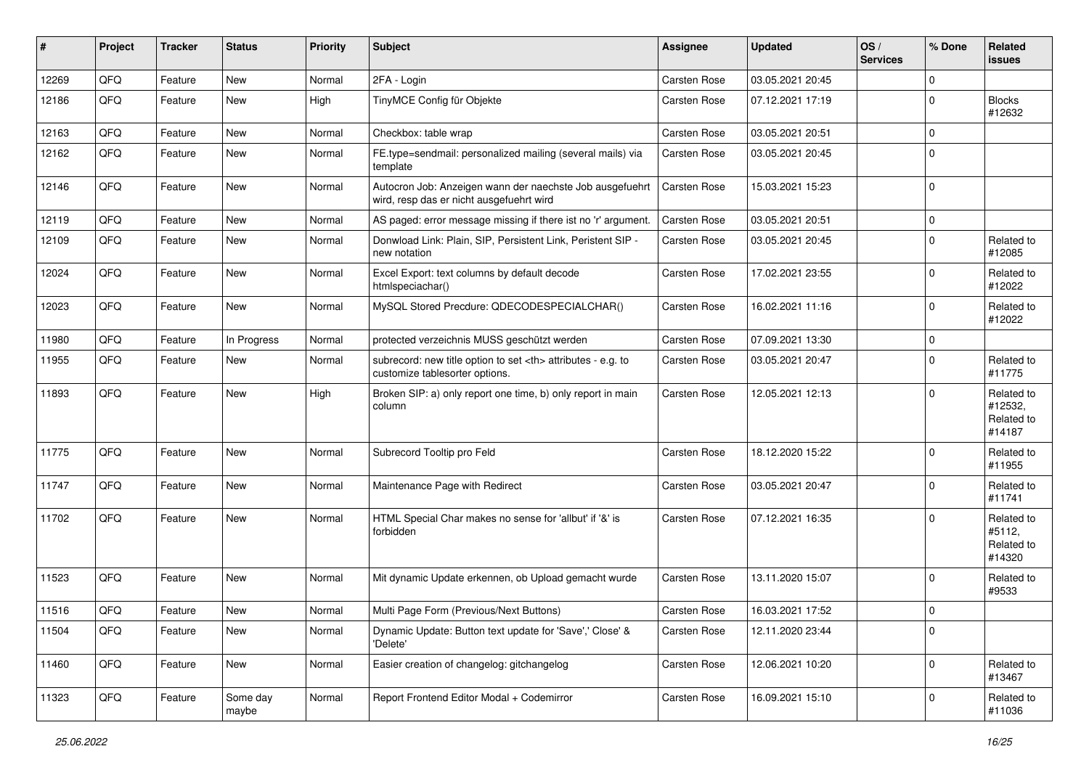| ∦     | Project | <b>Tracker</b> | <b>Status</b>     | <b>Priority</b> | Subject                                                                                              | <b>Assignee</b>                                        | <b>Updated</b>   | OS/<br><b>Services</b> | % Done      | Related<br>issues                             |                      |
|-------|---------|----------------|-------------------|-----------------|------------------------------------------------------------------------------------------------------|--------------------------------------------------------|------------------|------------------------|-------------|-----------------------------------------------|----------------------|
| 12269 | QFQ     | Feature        | New               | Normal          | 2FA - Login                                                                                          | <b>Carsten Rose</b>                                    | 03.05.2021 20:45 |                        | $\Omega$    |                                               |                      |
| 12186 | QFQ     | Feature        | New               | High            | TinyMCE Config für Objekte                                                                           | Carsten Rose                                           | 07.12.2021 17:19 |                        | $\Omega$    | <b>Blocks</b><br>#12632                       |                      |
| 12163 | QFQ     | Feature        | <b>New</b>        | Normal          | Checkbox: table wrap                                                                                 | <b>Carsten Rose</b>                                    | 03.05.2021 20:51 |                        | 0           |                                               |                      |
| 12162 | QFQ     | Feature        | New               | Normal          | FE.type=sendmail: personalized mailing (several mails) via<br>template                               | <b>Carsten Rose</b>                                    | 03.05.2021 20:45 |                        | $\Omega$    |                                               |                      |
| 12146 | QFQ     | Feature        | New               | Normal          | Autocron Job: Anzeigen wann der naechste Job ausgefuehrt<br>wird, resp das er nicht ausgefuehrt wird | <b>Carsten Rose</b>                                    | 15.03.2021 15:23 |                        | $\mathbf 0$ |                                               |                      |
| 12119 | QFQ     | Feature        | <b>New</b>        | Normal          | AS paged: error message missing if there ist no 'r' argument.                                        | <b>Carsten Rose</b>                                    | 03.05.2021 20:51 |                        | $\mathbf 0$ |                                               |                      |
| 12109 | QFQ     | Feature        | New               | Normal          | Donwload Link: Plain, SIP, Persistent Link, Peristent SIP -<br>new notation                          | Carsten Rose                                           | 03.05.2021 20:45 |                        | $\Omega$    | Related to<br>#12085                          |                      |
| 12024 | QFQ     | Feature        | New               | Normal          | Excel Export: text columns by default decode<br>htmlspeciachar()                                     | Carsten Rose                                           | 17.02.2021 23:55 |                        | 0           | Related to<br>#12022                          |                      |
| 12023 | QFQ     | Feature        | New               | Normal          | MySQL Stored Precdure: QDECODESPECIALCHAR()                                                          | <b>Carsten Rose</b>                                    | 16.02.2021 11:16 |                        | $\Omega$    | Related to<br>#12022                          |                      |
| 11980 | QFQ     | Feature        | In Progress       | Normal          | protected verzeichnis MUSS geschützt werden                                                          | <b>Carsten Rose</b>                                    | 07.09.2021 13:30 |                        | $\Omega$    |                                               |                      |
| 11955 | QFQ     | Feature        | New               | Normal          | subrecord: new title option to set <th> attributes - e.g. to<br/>customize tablesorter options.</th> | attributes - e.g. to<br>customize tablesorter options. | Carsten Rose     | 03.05.2021 20:47       |             | $\Omega$                                      | Related to<br>#11775 |
| 11893 | QFQ     | Feature        | New               | High            | Broken SIP: a) only report one time, b) only report in main<br>column                                | Carsten Rose                                           | 12.05.2021 12:13 |                        | $\Omega$    | Related to<br>#12532,<br>Related to<br>#14187 |                      |
| 11775 | QFQ     | Feature        | New               | Normal          | Subrecord Tooltip pro Feld                                                                           | <b>Carsten Rose</b>                                    | 18.12.2020 15:22 |                        | $\mathbf 0$ | Related to<br>#11955                          |                      |
| 11747 | QFQ     | Feature        | New               | Normal          | Maintenance Page with Redirect                                                                       | <b>Carsten Rose</b>                                    | 03.05.2021 20:47 |                        | $\Omega$    | Related to<br>#11741                          |                      |
| 11702 | QFQ     | Feature        | New               | Normal          | HTML Special Char makes no sense for 'allbut' if '&' is<br>forbidden                                 | Carsten Rose                                           | 07.12.2021 16:35 |                        | $\Omega$    | Related to<br>#5112,<br>Related to<br>#14320  |                      |
| 11523 | QFQ     | Feature        | New               | Normal          | Mit dynamic Update erkennen, ob Upload gemacht wurde                                                 | <b>Carsten Rose</b>                                    | 13.11.2020 15:07 |                        | 0           | Related to<br>#9533                           |                      |
| 11516 | QFQ     | Feature        | <b>New</b>        | Normal          | Multi Page Form (Previous/Next Buttons)                                                              | Carsten Rose                                           | 16.03.2021 17:52 |                        | 0           |                                               |                      |
| 11504 | QFQ     | Feature        | New               | Normal          | Dynamic Update: Button text update for 'Save',' Close' &<br>'Delete'                                 | Carsten Rose                                           | 12.11.2020 23:44 |                        | 0           |                                               |                      |
| 11460 | QFQ     | Feature        | New               | Normal          | Easier creation of changelog: gitchangelog                                                           | Carsten Rose                                           | 12.06.2021 10:20 |                        | $\Omega$    | Related to<br>#13467                          |                      |
| 11323 | QFQ     | Feature        | Some day<br>maybe | Normal          | Report Frontend Editor Modal + Codemirror                                                            | Carsten Rose                                           | 16.09.2021 15:10 |                        | 0           | Related to<br>#11036                          |                      |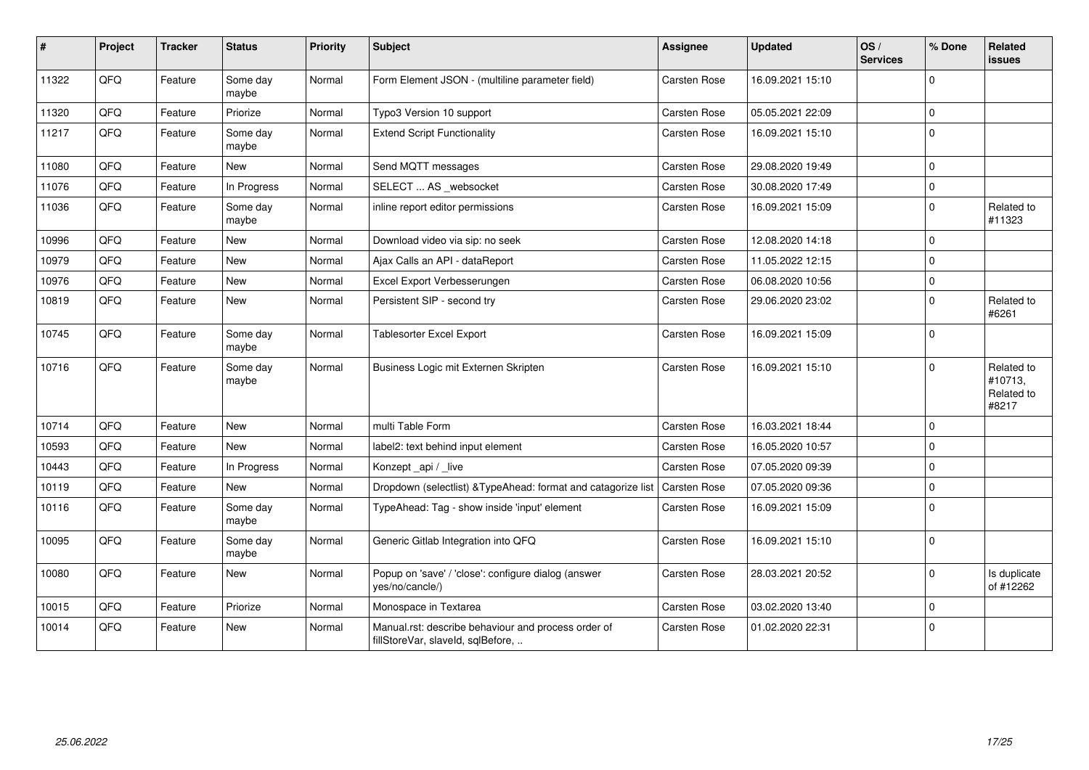| $\pmb{\#}$ | Project | Tracker | <b>Status</b>     | <b>Priority</b> | Subject                                                                                  | <b>Assignee</b>     | <b>Updated</b>   | OS/<br><b>Services</b> | % Done      | Related<br><b>issues</b>                     |
|------------|---------|---------|-------------------|-----------------|------------------------------------------------------------------------------------------|---------------------|------------------|------------------------|-------------|----------------------------------------------|
| 11322      | QFQ     | Feature | Some day<br>maybe | Normal          | Form Element JSON - (multiline parameter field)                                          | Carsten Rose        | 16.09.2021 15:10 |                        | $\Omega$    |                                              |
| 11320      | QFQ     | Feature | Priorize          | Normal          | Typo3 Version 10 support                                                                 | Carsten Rose        | 05.05.2021 22:09 |                        | $\Omega$    |                                              |
| 11217      | QFQ     | Feature | Some day<br>maybe | Normal          | <b>Extend Script Functionality</b>                                                       | <b>Carsten Rose</b> | 16.09.2021 15:10 |                        | $\mathbf 0$ |                                              |
| 11080      | QFQ     | Feature | New               | Normal          | Send MQTT messages                                                                       | Carsten Rose        | 29.08.2020 19:49 |                        | $\mathbf 0$ |                                              |
| 11076      | QFQ     | Feature | In Progress       | Normal          | SELECT  AS _websocket                                                                    | Carsten Rose        | 30.08.2020 17:49 |                        | $\Omega$    |                                              |
| 11036      | QFQ     | Feature | Some day<br>maybe | Normal          | inline report editor permissions                                                         | Carsten Rose        | 16.09.2021 15:09 |                        | $\Omega$    | Related to<br>#11323                         |
| 10996      | QFQ     | Feature | New               | Normal          | Download video via sip: no seek                                                          | <b>Carsten Rose</b> | 12.08.2020 14:18 |                        | $\Omega$    |                                              |
| 10979      | QFQ     | Feature | New               | Normal          | Ajax Calls an API - dataReport                                                           | Carsten Rose        | 11.05.2022 12:15 |                        | $\Omega$    |                                              |
| 10976      | QFQ     | Feature | New               | Normal          | Excel Export Verbesserungen                                                              | <b>Carsten Rose</b> | 06.08.2020 10:56 |                        | $\Omega$    |                                              |
| 10819      | QFQ     | Feature | <b>New</b>        | Normal          | Persistent SIP - second try                                                              | <b>Carsten Rose</b> | 29.06.2020 23:02 |                        | $\Omega$    | Related to<br>#6261                          |
| 10745      | QFQ     | Feature | Some day<br>maybe | Normal          | <b>Tablesorter Excel Export</b>                                                          | <b>Carsten Rose</b> | 16.09.2021 15:09 |                        | $\Omega$    |                                              |
| 10716      | QFQ     | Feature | Some day<br>maybe | Normal          | Business Logic mit Externen Skripten                                                     | <b>Carsten Rose</b> | 16.09.2021 15:10 |                        | $\Omega$    | Related to<br>#10713,<br>Related to<br>#8217 |
| 10714      | QFQ     | Feature | <b>New</b>        | Normal          | multi Table Form                                                                         | Carsten Rose        | 16.03.2021 18:44 |                        | $\Omega$    |                                              |
| 10593      | QFQ     | Feature | New               | Normal          | label2: text behind input element                                                        | Carsten Rose        | 16.05.2020 10:57 |                        | $\Omega$    |                                              |
| 10443      | QFQ     | Feature | In Progress       | Normal          | Konzept_api / _live                                                                      | Carsten Rose        | 07.05.2020 09:39 |                        | $\mathbf 0$ |                                              |
| 10119      | QFQ     | Feature | <b>New</b>        | Normal          | Dropdown (selectlist) & TypeAhead: format and catagorize list                            | Carsten Rose        | 07.05.2020 09:36 |                        | $\Omega$    |                                              |
| 10116      | QFQ     | Feature | Some day<br>maybe | Normal          | TypeAhead: Tag - show inside 'input' element                                             | <b>Carsten Rose</b> | 16.09.2021 15:09 |                        | $\Omega$    |                                              |
| 10095      | QFQ     | Feature | Some day<br>maybe | Normal          | Generic Gitlab Integration into QFQ                                                      | <b>Carsten Rose</b> | 16.09.2021 15:10 |                        | $\mathbf 0$ |                                              |
| 10080      | QFQ     | Feature | New               | Normal          | Popup on 'save' / 'close': configure dialog (answer<br>yes/no/cancle/)                   | Carsten Rose        | 28.03.2021 20:52 |                        | $\mathbf 0$ | Is duplicate<br>of #12262                    |
| 10015      | QFQ     | Feature | Priorize          | Normal          | Monospace in Textarea                                                                    | <b>Carsten Rose</b> | 03.02.2020 13:40 |                        | $\mathbf 0$ |                                              |
| 10014      | QFQ     | Feature | New               | Normal          | Manual.rst: describe behaviour and process order of<br>fillStoreVar, slaveId, sqlBefore, | <b>Carsten Rose</b> | 01.02.2020 22:31 |                        | $\Omega$    |                                              |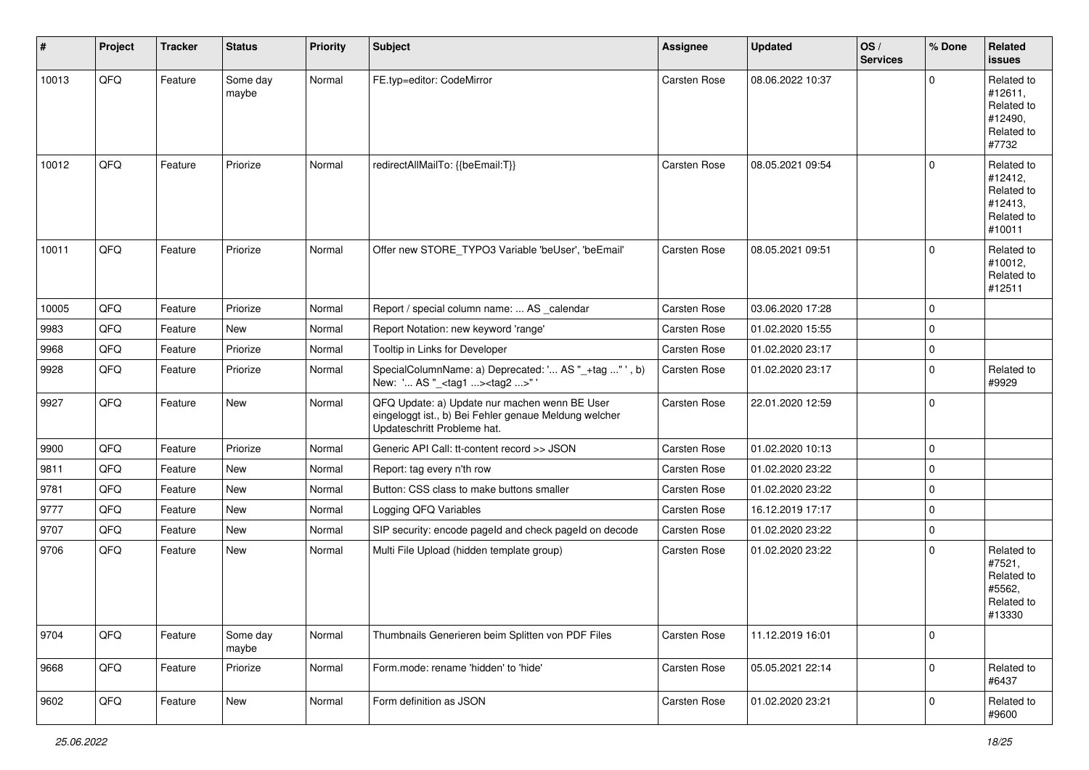| #     | Project | <b>Tracker</b> | <b>Status</b>     | <b>Priority</b> | <b>Subject</b>                                                                                                                        | Assignee            | <b>Updated</b>   | OS/<br><b>Services</b> | % Done      | Related<br><b>issues</b>                                               |
|-------|---------|----------------|-------------------|-----------------|---------------------------------------------------------------------------------------------------------------------------------------|---------------------|------------------|------------------------|-------------|------------------------------------------------------------------------|
| 10013 | QFQ     | Feature        | Some day<br>maybe | Normal          | FE.typ=editor: CodeMirror                                                                                                             | Carsten Rose        | 08.06.2022 10:37 |                        | $\Omega$    | Related to<br>#12611,<br>Related to<br>#12490,<br>Related to<br>#7732  |
| 10012 | QFQ     | Feature        | Priorize          | Normal          | redirectAllMailTo: {{beEmail:T}}                                                                                                      | Carsten Rose        | 08.05.2021 09:54 |                        | $\Omega$    | Related to<br>#12412,<br>Related to<br>#12413,<br>Related to<br>#10011 |
| 10011 | QFQ     | Feature        | Priorize          | Normal          | Offer new STORE_TYPO3 Variable 'beUser', 'beEmail'                                                                                    | Carsten Rose        | 08.05.2021 09:51 |                        | $\Omega$    | Related to<br>#10012,<br>Related to<br>#12511                          |
| 10005 | QFQ     | Feature        | Priorize          | Normal          | Report / special column name:  AS calendar                                                                                            | <b>Carsten Rose</b> | 03.06.2020 17:28 |                        | $\Omega$    |                                                                        |
| 9983  | QFQ     | Feature        | New               | Normal          | Report Notation: new keyword 'range'                                                                                                  | Carsten Rose        | 01.02.2020 15:55 |                        | l 0         |                                                                        |
| 9968  | QFQ     | Feature        | Priorize          | Normal          | Tooltip in Links for Developer                                                                                                        | Carsten Rose        | 01.02.2020 23:17 |                        | $\mathbf 0$ |                                                                        |
| 9928  | QFQ     | Feature        | Priorize          | Normal          | SpecialColumnName: a) Deprecated: ' AS "_+tag "', b)<br>New: ' AS "_ <tag1><tag2>"</tag2></tag1>                                      | Carsten Rose        | 01.02.2020 23:17 |                        | $\Omega$    | Related to<br>#9929                                                    |
| 9927  | QFQ     | Feature        | New               | Normal          | QFQ Update: a) Update nur machen wenn BE User<br>eingeloggt ist., b) Bei Fehler genaue Meldung welcher<br>Updateschritt Probleme hat. | Carsten Rose        | 22.01.2020 12:59 |                        | l 0         |                                                                        |
| 9900  | QFQ     | Feature        | Priorize          | Normal          | Generic API Call: tt-content record >> JSON                                                                                           | Carsten Rose        | 01.02.2020 10:13 |                        | l 0         |                                                                        |
| 9811  | QFQ     | Feature        | New               | Normal          | Report: tag every n'th row                                                                                                            | Carsten Rose        | 01.02.2020 23:22 |                        | $\mathbf 0$ |                                                                        |
| 9781  | QFQ     | Feature        | New               | Normal          | Button: CSS class to make buttons smaller                                                                                             | Carsten Rose        | 01.02.2020 23:22 |                        | $\mathbf 0$ |                                                                        |
| 9777  | QFQ     | Feature        | New               | Normal          | Logging QFQ Variables                                                                                                                 | Carsten Rose        | 16.12.2019 17:17 |                        | $\Omega$    |                                                                        |
| 9707  | QFQ     | Feature        | New               | Normal          | SIP security: encode pageld and check pageld on decode                                                                                | Carsten Rose        | 01.02.2020 23:22 |                        | l O         |                                                                        |
| 9706  | QFQ     | Feature        | New               | Normal          | Multi File Upload (hidden template group)                                                                                             | <b>Carsten Rose</b> | 01.02.2020 23:22 |                        | $\Omega$    | Related to<br>#7521,<br>Related to<br>#5562,<br>Related to<br>#13330   |
| 9704  | QFQ     | Feature        | Some day<br>maybe | Normal          | Thumbnails Generieren beim Splitten von PDF Files                                                                                     | Carsten Rose        | 11.12.2019 16:01 |                        | l 0         |                                                                        |
| 9668  | QFG     | Feature        | Priorize          | Normal          | Form.mode: rename 'hidden' to 'hide'                                                                                                  | Carsten Rose        | 05.05.2021 22:14 |                        | $\mathbf 0$ | Related to<br>#6437                                                    |
| 9602  | QFQ     | Feature        | New               | Normal          | Form definition as JSON                                                                                                               | Carsten Rose        | 01.02.2020 23:21 |                        | 0           | Related to<br>#9600                                                    |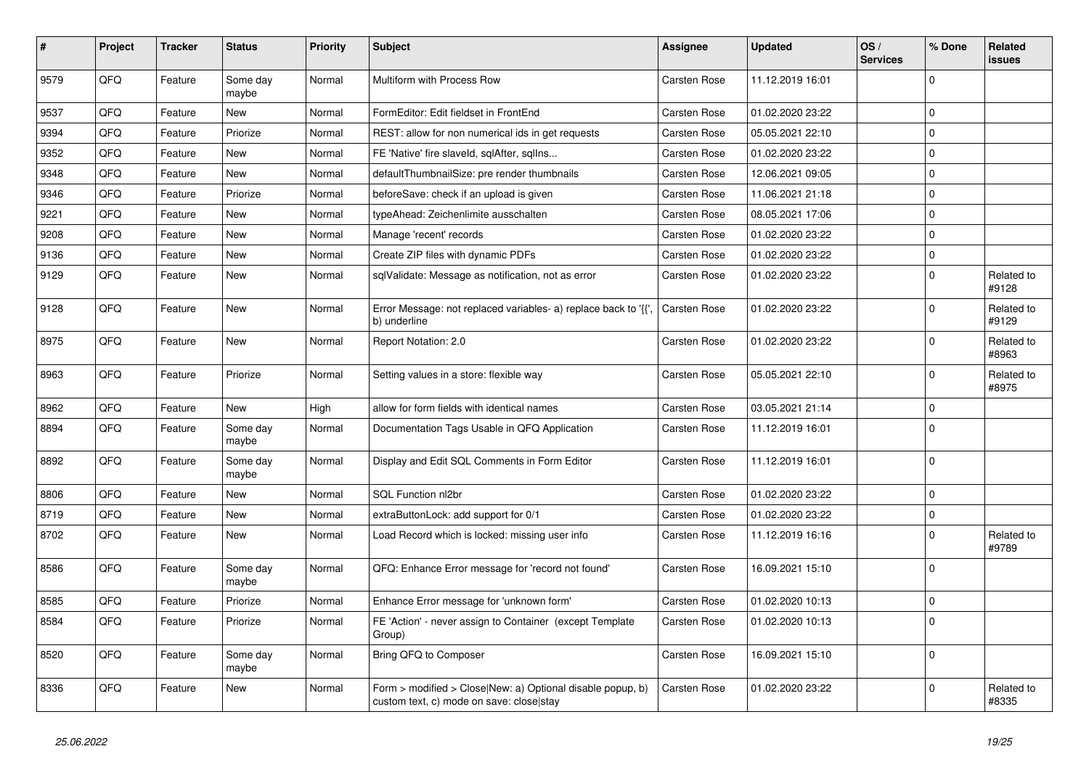| #    | Project | <b>Tracker</b> | <b>Status</b>     | <b>Priority</b> | <b>Subject</b>                                                                                         | Assignee            | <b>Updated</b>   | OS/<br><b>Services</b> | % Done       | Related<br>issues   |
|------|---------|----------------|-------------------|-----------------|--------------------------------------------------------------------------------------------------------|---------------------|------------------|------------------------|--------------|---------------------|
| 9579 | QFQ     | Feature        | Some day<br>maybe | Normal          | Multiform with Process Row                                                                             | <b>Carsten Rose</b> | 11.12.2019 16:01 |                        | $\Omega$     |                     |
| 9537 | QFQ     | Feature        | <b>New</b>        | Normal          | FormEditor: Edit fieldset in FrontEnd                                                                  | <b>Carsten Rose</b> | 01.02.2020 23:22 |                        | $\mathbf 0$  |                     |
| 9394 | QFQ     | Feature        | Priorize          | Normal          | REST: allow for non numerical ids in get requests                                                      | Carsten Rose        | 05.05.2021 22:10 |                        | $\Omega$     |                     |
| 9352 | QFQ     | Feature        | New               | Normal          | FE 'Native' fire slaveld, sqlAfter, sqlIns                                                             | Carsten Rose        | 01.02.2020 23:22 |                        | $\mathbf{0}$ |                     |
| 9348 | QFQ     | Feature        | New               | Normal          | defaultThumbnailSize: pre render thumbnails                                                            | Carsten Rose        | 12.06.2021 09:05 |                        | $\mathbf{0}$ |                     |
| 9346 | QFQ     | Feature        | Priorize          | Normal          | beforeSave: check if an upload is given                                                                | <b>Carsten Rose</b> | 11.06.2021 21:18 |                        | $\Omega$     |                     |
| 9221 | QFQ     | Feature        | <b>New</b>        | Normal          | typeAhead: Zeichenlimite ausschalten                                                                   | Carsten Rose        | 08.05.2021 17:06 |                        | $\Omega$     |                     |
| 9208 | QFQ     | Feature        | <b>New</b>        | Normal          | Manage 'recent' records                                                                                | Carsten Rose        | 01.02.2020 23:22 |                        | $\Omega$     |                     |
| 9136 | QFQ     | Feature        | <b>New</b>        | Normal          | Create ZIP files with dynamic PDFs                                                                     | Carsten Rose        | 01.02.2020 23:22 |                        | $\mathbf 0$  |                     |
| 9129 | QFQ     | Feature        | New               | Normal          | sqlValidate: Message as notification, not as error                                                     | Carsten Rose        | 01.02.2020 23:22 |                        | $\mathbf 0$  | Related to<br>#9128 |
| 9128 | QFQ     | Feature        | New               | Normal          | Error Message: not replaced variables- a) replace back to '{',<br>b) underline                         | <b>Carsten Rose</b> | 01.02.2020 23:22 |                        | $\Omega$     | Related to<br>#9129 |
| 8975 | QFQ     | Feature        | <b>New</b>        | Normal          | Report Notation: 2.0                                                                                   | <b>Carsten Rose</b> | 01.02.2020 23:22 |                        | $\mathbf 0$  | Related to<br>#8963 |
| 8963 | QFQ     | Feature        | Priorize          | Normal          | Setting values in a store: flexible way                                                                | Carsten Rose        | 05.05.2021 22:10 |                        | $\mathbf 0$  | Related to<br>#8975 |
| 8962 | QFQ     | Feature        | New               | High            | allow for form fields with identical names                                                             | <b>Carsten Rose</b> | 03.05.2021 21:14 |                        | $\mathbf 0$  |                     |
| 8894 | QFQ     | Feature        | Some day<br>maybe | Normal          | Documentation Tags Usable in QFQ Application                                                           | <b>Carsten Rose</b> | 11.12.2019 16:01 |                        | $\mathbf 0$  |                     |
| 8892 | QFQ     | Feature        | Some day<br>maybe | Normal          | Display and Edit SQL Comments in Form Editor                                                           | <b>Carsten Rose</b> | 11.12.2019 16:01 |                        | $\mathbf 0$  |                     |
| 8806 | QFQ     | Feature        | <b>New</b>        | Normal          | SQL Function nl2br                                                                                     | <b>Carsten Rose</b> | 01.02.2020 23:22 |                        | $\mathbf 0$  |                     |
| 8719 | QFQ     | Feature        | New               | Normal          | extraButtonLock: add support for 0/1                                                                   | Carsten Rose        | 01.02.2020 23:22 |                        | $\pmb{0}$    |                     |
| 8702 | QFQ     | Feature        | New               | Normal          | Load Record which is locked: missing user info                                                         | Carsten Rose        | 11.12.2019 16:16 |                        | $\mathbf 0$  | Related to<br>#9789 |
| 8586 | QFQ     | Feature        | Some day<br>maybe | Normal          | QFQ: Enhance Error message for 'record not found'                                                      | Carsten Rose        | 16.09.2021 15:10 |                        | $\Omega$     |                     |
| 8585 | QFQ     | Feature        | Priorize          | Normal          | Enhance Error message for 'unknown form'                                                               | <b>Carsten Rose</b> | 01.02.2020 10:13 |                        | $\mathbf 0$  |                     |
| 8584 | QFQ     | Feature        | Priorize          | Normal          | FE 'Action' - never assign to Container (except Template)<br>Group)                                    | Carsten Rose        | 01.02.2020 10:13 |                        | $\mathbf 0$  |                     |
| 8520 | QFQ     | Feature        | Some day<br>maybe | Normal          | Bring QFQ to Composer                                                                                  | <b>Carsten Rose</b> | 16.09.2021 15:10 |                        | $\Omega$     |                     |
| 8336 | QFQ     | Feature        | New               | Normal          | Form > modified > Close New: a) Optional disable popup, b)<br>custom text, c) mode on save: close stay | Carsten Rose        | 01.02.2020 23:22 |                        | $\Omega$     | Related to<br>#8335 |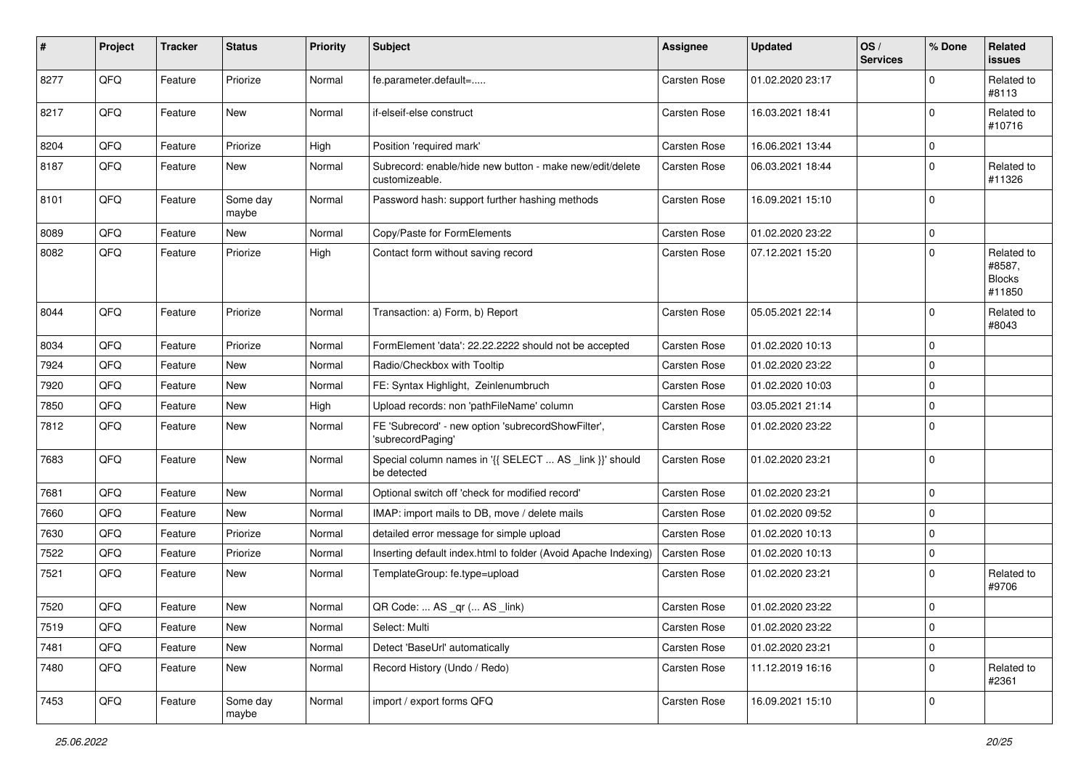| #    | Project | <b>Tracker</b> | <b>Status</b>     | <b>Priority</b> | Subject                                                                    | <b>Assignee</b>     | <b>Updated</b>   | OS/<br><b>Services</b> | % Done      | Related<br>issues                               |
|------|---------|----------------|-------------------|-----------------|----------------------------------------------------------------------------|---------------------|------------------|------------------------|-------------|-------------------------------------------------|
| 8277 | QFQ     | Feature        | Priorize          | Normal          | fe.parameter.default=                                                      | <b>Carsten Rose</b> | 01.02.2020 23:17 |                        | $\Omega$    | Related to<br>#8113                             |
| 8217 | QFQ     | Feature        | New               | Normal          | if-elseif-else construct                                                   | Carsten Rose        | 16.03.2021 18:41 |                        | $\Omega$    | Related to<br>#10716                            |
| 8204 | QFQ     | Feature        | Priorize          | High            | Position 'required mark'                                                   | <b>Carsten Rose</b> | 16.06.2021 13:44 |                        | 0           |                                                 |
| 8187 | QFQ     | Feature        | New               | Normal          | Subrecord: enable/hide new button - make new/edit/delete<br>customizeable. | Carsten Rose        | 06.03.2021 18:44 |                        | $\Omega$    | Related to<br>#11326                            |
| 8101 | QFQ     | Feature        | Some day<br>maybe | Normal          | Password hash: support further hashing methods                             | Carsten Rose        | 16.09.2021 15:10 |                        | $\Omega$    |                                                 |
| 8089 | QFQ     | Feature        | New               | Normal          | Copy/Paste for FormElements                                                | Carsten Rose        | 01.02.2020 23:22 |                        | $\mathbf 0$ |                                                 |
| 8082 | QFQ     | Feature        | Priorize          | High            | Contact form without saving record                                         | Carsten Rose        | 07.12.2021 15:20 |                        | $\Omega$    | Related to<br>#8587,<br><b>Blocks</b><br>#11850 |
| 8044 | QFQ     | Feature        | Priorize          | Normal          | Transaction: a) Form, b) Report                                            | <b>Carsten Rose</b> | 05.05.2021 22:14 |                        | $\Omega$    | Related to<br>#8043                             |
| 8034 | QFQ     | Feature        | Priorize          | Normal          | FormElement 'data': 22.22.2222 should not be accepted                      | Carsten Rose        | 01.02.2020 10:13 |                        | $\mathbf 0$ |                                                 |
| 7924 | QFQ     | Feature        | New               | Normal          | Radio/Checkbox with Tooltip                                                | <b>Carsten Rose</b> | 01.02.2020 23:22 |                        | 0           |                                                 |
| 7920 | QFQ     | Feature        | New               | Normal          | FE: Syntax Highlight, Zeinlenumbruch                                       | Carsten Rose        | 01.02.2020 10:03 |                        | $\Omega$    |                                                 |
| 7850 | QFQ     | Feature        | New               | High            | Upload records: non 'pathFileName' column                                  | <b>Carsten Rose</b> | 03.05.2021 21:14 |                        | $\mathbf 0$ |                                                 |
| 7812 | QFQ     | Feature        | New               | Normal          | FE 'Subrecord' - new option 'subrecordShowFilter',<br>'subrecordPaging'    | Carsten Rose        | 01.02.2020 23:22 |                        | $\Omega$    |                                                 |
| 7683 | QFQ     | Feature        | New               | Normal          | Special column names in '{{ SELECT  AS _link }}' should<br>be detected     | Carsten Rose        | 01.02.2020 23:21 |                        | $\Omega$    |                                                 |
| 7681 | QFQ     | Feature        | New               | Normal          | Optional switch off 'check for modified record'                            | Carsten Rose        | 01.02.2020 23:21 |                        | 0           |                                                 |
| 7660 | QFQ     | Feature        | New               | Normal          | IMAP: import mails to DB, move / delete mails                              | <b>Carsten Rose</b> | 01.02.2020 09:52 |                        | $\mathbf 0$ |                                                 |
| 7630 | QFQ     | Feature        | Priorize          | Normal          | detailed error message for simple upload                                   | Carsten Rose        | 01.02.2020 10:13 |                        | 0           |                                                 |
| 7522 | QFQ     | Feature        | Priorize          | Normal          | Inserting default index.html to folder (Avoid Apache Indexing)             | <b>Carsten Rose</b> | 01.02.2020 10:13 |                        | $\mathbf 0$ |                                                 |
| 7521 | QFQ     | Feature        | New               | Normal          | TemplateGroup: fe.type=upload                                              | Carsten Rose        | 01.02.2020 23:21 |                        | $\Omega$    | Related to<br>#9706                             |
| 7520 | QFQ     | Feature        | New               | Normal          | QR Code:  AS _qr ( AS _link)                                               | Carsten Rose        | 01.02.2020 23:22 |                        | $\Omega$    |                                                 |
| 7519 | QFQ     | Feature        | New               | Normal          | Select: Multi                                                              | Carsten Rose        | 01.02.2020 23:22 |                        | 0           |                                                 |
| 7481 | QFQ     | Feature        | New               | Normal          | Detect 'BaseUrl' automatically                                             | Carsten Rose        | 01.02.2020 23:21 |                        | 0           |                                                 |
| 7480 | QFQ     | Feature        | New               | Normal          | Record History (Undo / Redo)                                               | Carsten Rose        | 11.12.2019 16:16 |                        | 0           | Related to<br>#2361                             |
| 7453 | QFQ     | Feature        | Some day<br>maybe | Normal          | import / export forms QFQ                                                  | Carsten Rose        | 16.09.2021 15:10 |                        | 0           |                                                 |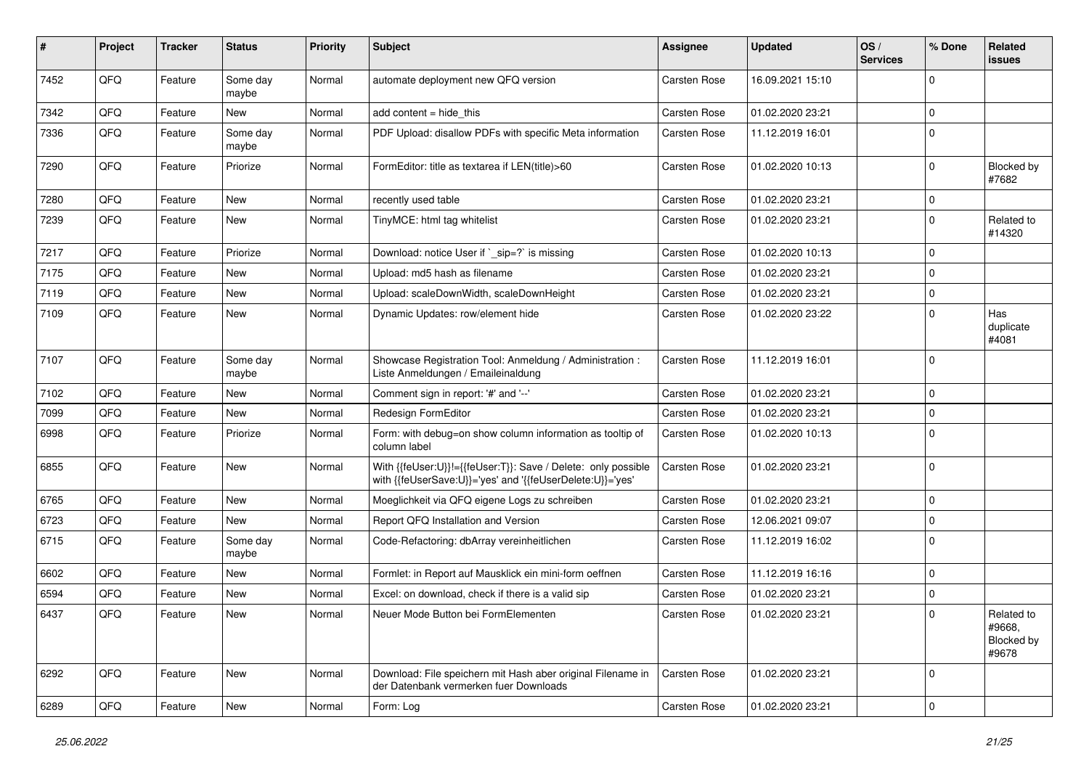| $\#$ | Project | <b>Tracker</b> | <b>Status</b>     | <b>Priority</b> | <b>Subject</b>                                                                                                             | <b>Assignee</b>     | <b>Updated</b>   | OS/<br><b>Services</b> | % Done         | Related<br>issues                           |
|------|---------|----------------|-------------------|-----------------|----------------------------------------------------------------------------------------------------------------------------|---------------------|------------------|------------------------|----------------|---------------------------------------------|
| 7452 | QFQ     | Feature        | Some day<br>maybe | Normal          | automate deployment new QFQ version                                                                                        | <b>Carsten Rose</b> | 16.09.2021 15:10 |                        | $\Omega$       |                                             |
| 7342 | QFQ     | Feature        | New               | Normal          | add content $=$ hide this                                                                                                  | Carsten Rose        | 01.02.2020 23:21 |                        | 0              |                                             |
| 7336 | QFQ     | Feature        | Some day<br>maybe | Normal          | PDF Upload: disallow PDFs with specific Meta information                                                                   | Carsten Rose        | 11.12.2019 16:01 |                        | $\Omega$       |                                             |
| 7290 | QFQ     | Feature        | Priorize          | Normal          | FormEditor: title as textarea if LEN(title)>60                                                                             | Carsten Rose        | 01.02.2020 10:13 |                        | $\Omega$       | Blocked by<br>#7682                         |
| 7280 | QFQ     | Feature        | New               | Normal          | recently used table                                                                                                        | Carsten Rose        | 01.02.2020 23:21 |                        | 0              |                                             |
| 7239 | QFQ     | Feature        | New               | Normal          | TinyMCE: html tag whitelist                                                                                                | Carsten Rose        | 01.02.2020 23:21 |                        | $\mathbf 0$    | Related to<br>#14320                        |
| 7217 | QFQ     | Feature        | Priorize          | Normal          | Download: notice User if `_sip=?` is missing                                                                               | Carsten Rose        | 01.02.2020 10:13 |                        | 0              |                                             |
| 7175 | QFQ     | Feature        | New               | Normal          | Upload: md5 hash as filename                                                                                               | Carsten Rose        | 01.02.2020 23:21 |                        | $\Omega$       |                                             |
| 7119 | QFQ     | Feature        | New               | Normal          | Upload: scaleDownWidth, scaleDownHeight                                                                                    | Carsten Rose        | 01.02.2020 23:21 |                        | 0              |                                             |
| 7109 | QFQ     | Feature        | New               | Normal          | Dynamic Updates: row/element hide                                                                                          | Carsten Rose        | 01.02.2020 23:22 |                        | $\Omega$       | Has<br>duplicate<br>#4081                   |
| 7107 | QFQ     | Feature        | Some day<br>maybe | Normal          | Showcase Registration Tool: Anmeldung / Administration :<br>Liste Anmeldungen / Emaileinaldung                             | Carsten Rose        | 11.12.2019 16:01 |                        | $\Omega$       |                                             |
| 7102 | QFQ     | Feature        | New               | Normal          | Comment sign in report: '#' and '--'                                                                                       | <b>Carsten Rose</b> | 01.02.2020 23:21 |                        | 0              |                                             |
| 7099 | QFQ     | Feature        | New               | Normal          | Redesign FormEditor                                                                                                        | <b>Carsten Rose</b> | 01.02.2020 23:21 |                        | $\Omega$       |                                             |
| 6998 | QFQ     | Feature        | Priorize          | Normal          | Form: with debug=on show column information as tooltip of<br>column label                                                  | Carsten Rose        | 01.02.2020 10:13 |                        | $\Omega$       |                                             |
| 6855 | QFQ     | Feature        | New               | Normal          | With {{feUser:U}}!={{feUser:T}}: Save / Delete: only possible<br>with {{feUserSave:U}}='yes' and '{{feUserDelete:U}}='yes' | Carsten Rose        | 01.02.2020 23:21 |                        | $\mathbf 0$    |                                             |
| 6765 | QFQ     | Feature        | New               | Normal          | Moeglichkeit via QFQ eigene Logs zu schreiben                                                                              | Carsten Rose        | 01.02.2020 23:21 |                        | $\mathbf 0$    |                                             |
| 6723 | QFQ     | Feature        | New               | Normal          | Report QFQ Installation and Version                                                                                        | <b>Carsten Rose</b> | 12.06.2021 09:07 |                        | $\mathbf 0$    |                                             |
| 6715 | QFQ     | Feature        | Some day<br>maybe | Normal          | Code-Refactoring: dbArray vereinheitlichen                                                                                 | Carsten Rose        | 11.12.2019 16:02 |                        | $\Omega$       |                                             |
| 6602 | QFQ     | Feature        | New               | Normal          | Formlet: in Report auf Mausklick ein mini-form oeffnen                                                                     | <b>Carsten Rose</b> | 11.12.2019 16:16 |                        | $\Omega$       |                                             |
| 6594 | QFQ     | Feature        | New               | Normal          | Excel: on download, check if there is a valid sip                                                                          | Carsten Rose        | 01.02.2020 23:21 |                        | $\Omega$       |                                             |
| 6437 | QFQ     | Feature        | New               | Normal          | Neuer Mode Button bei FormElementen                                                                                        | <b>Carsten Rose</b> | 01.02.2020 23:21 |                        | $\overline{0}$ | Related to<br>#9668,<br>Blocked by<br>#9678 |
| 6292 | QFQ     | Feature        | New               | Normal          | Download: File speichern mit Hash aber original Filename in<br>der Datenbank vermerken fuer Downloads                      | <b>Carsten Rose</b> | 01.02.2020 23:21 |                        | $\Omega$       |                                             |
| 6289 | QFQ     | Feature        | New               | Normal          | Form: Log                                                                                                                  | Carsten Rose        | 01.02.2020 23:21 |                        | $\overline{0}$ |                                             |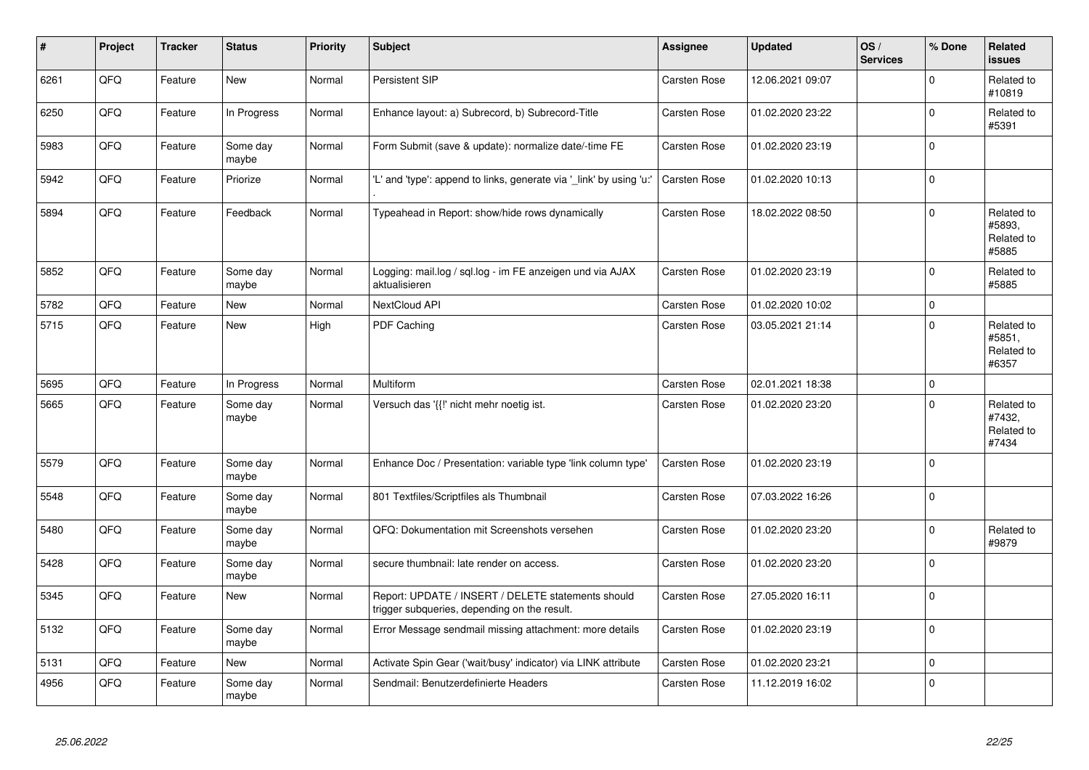| ∦    | Project | <b>Tracker</b> | <b>Status</b>     | <b>Priority</b> | <b>Subject</b>                                                                                     | Assignee            | <b>Updated</b>   | OS/<br><b>Services</b> | % Done         | <b>Related</b><br><b>issues</b>             |
|------|---------|----------------|-------------------|-----------------|----------------------------------------------------------------------------------------------------|---------------------|------------------|------------------------|----------------|---------------------------------------------|
| 6261 | QFQ     | Feature        | New               | Normal          | Persistent SIP                                                                                     | Carsten Rose        | 12.06.2021 09:07 |                        | $\Omega$       | Related to<br>#10819                        |
| 6250 | QFQ     | Feature        | In Progress       | Normal          | Enhance layout: a) Subrecord, b) Subrecord-Title                                                   | Carsten Rose        | 01.02.2020 23:22 |                        | $\mathbf 0$    | Related to<br>#5391                         |
| 5983 | QFQ     | Feature        | Some day<br>maybe | Normal          | Form Submit (save & update): normalize date/-time FE                                               | Carsten Rose        | 01.02.2020 23:19 |                        | $\Omega$       |                                             |
| 5942 | QFQ     | Feature        | Priorize          | Normal          | 'L' and 'type': append to links, generate via '_link' by using 'u:'                                | <b>Carsten Rose</b> | 01.02.2020 10:13 |                        | $\Omega$       |                                             |
| 5894 | QFQ     | Feature        | Feedback          | Normal          | Typeahead in Report: show/hide rows dynamically                                                    | Carsten Rose        | 18.02.2022 08:50 |                        | $\Omega$       | Related to<br>#5893,<br>Related to<br>#5885 |
| 5852 | QFQ     | Feature        | Some day<br>maybe | Normal          | Logging: mail.log / sql.log - im FE anzeigen und via AJAX<br>aktualisieren                         | Carsten Rose        | 01.02.2020 23:19 |                        | $\Omega$       | Related to<br>#5885                         |
| 5782 | QFQ     | Feature        | New               | Normal          | NextCloud API                                                                                      | <b>Carsten Rose</b> | 01.02.2020 10:02 |                        | $\mathbf 0$    |                                             |
| 5715 | QFQ     | Feature        | New               | High            | PDF Caching                                                                                        | Carsten Rose        | 03.05.2021 21:14 |                        | $\Omega$       | Related to<br>#5851,<br>Related to<br>#6357 |
| 5695 | QFQ     | Feature        | In Progress       | Normal          | Multiform                                                                                          | <b>Carsten Rose</b> | 02.01.2021 18:38 |                        | $\overline{0}$ |                                             |
| 5665 | QFQ     | Feature        | Some day<br>maybe | Normal          | Versuch das '{{!' nicht mehr noetig ist.                                                           | Carsten Rose        | 01.02.2020 23:20 |                        | $\Omega$       | Related to<br>#7432,<br>Related to<br>#7434 |
| 5579 | QFQ     | Feature        | Some day<br>maybe | Normal          | Enhance Doc / Presentation: variable type 'link column type'                                       | <b>Carsten Rose</b> | 01.02.2020 23:19 |                        | $\Omega$       |                                             |
| 5548 | QFQ     | Feature        | Some day<br>maybe | Normal          | 801 Textfiles/Scriptfiles als Thumbnail                                                            | <b>Carsten Rose</b> | 07.03.2022 16:26 |                        | $\overline{0}$ |                                             |
| 5480 | QFQ     | Feature        | Some day<br>maybe | Normal          | QFQ: Dokumentation mit Screenshots versehen                                                        | Carsten Rose        | 01.02.2020 23:20 |                        | $\Omega$       | Related to<br>#9879                         |
| 5428 | QFQ     | Feature        | Some day<br>maybe | Normal          | secure thumbnail: late render on access.                                                           | Carsten Rose        | 01.02.2020 23:20 |                        | $\overline{0}$ |                                             |
| 5345 | QFQ     | Feature        | New               | Normal          | Report: UPDATE / INSERT / DELETE statements should<br>trigger subqueries, depending on the result. | Carsten Rose        | 27.05.2020 16:11 |                        | $\mathbf 0$    |                                             |
| 5132 | QFQ     | Feature        | Some day<br>maybe | Normal          | Error Message sendmail missing attachment: more details                                            | Carsten Rose        | 01.02.2020 23:19 |                        | $\Omega$       |                                             |
| 5131 | QFQ     | Feature        | <b>New</b>        | Normal          | Activate Spin Gear ('wait/busy' indicator) via LINK attribute                                      | Carsten Rose        | 01.02.2020 23:21 |                        | $\Omega$       |                                             |
| 4956 | QFQ     | Feature        | Some day<br>maybe | Normal          | Sendmail: Benutzerdefinierte Headers                                                               | Carsten Rose        | 11.12.2019 16:02 |                        | $\Omega$       |                                             |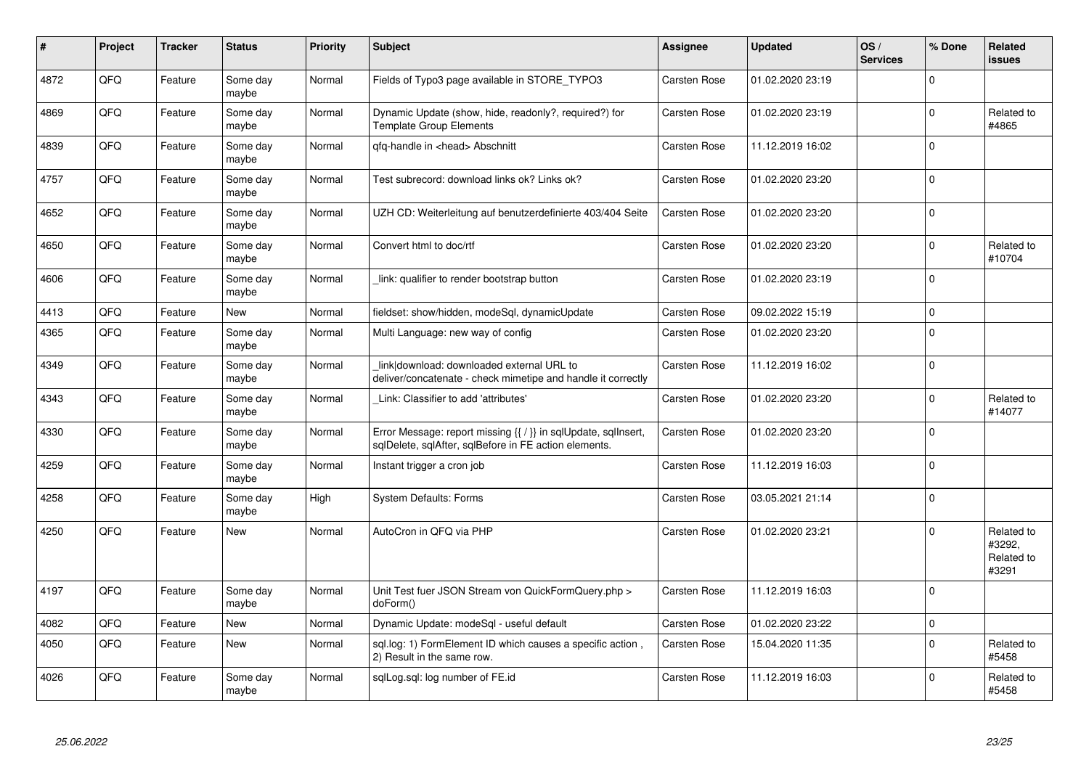| $\pmb{\#}$ | Project | <b>Tracker</b> | <b>Status</b>     | <b>Priority</b> | <b>Subject</b>                                                                                                          | Assignee            | <b>Updated</b>   | OS/<br><b>Services</b> | % Done      | Related<br>issues                           |
|------------|---------|----------------|-------------------|-----------------|-------------------------------------------------------------------------------------------------------------------------|---------------------|------------------|------------------------|-------------|---------------------------------------------|
| 4872       | QFQ     | Feature        | Some day<br>maybe | Normal          | Fields of Typo3 page available in STORE TYPO3                                                                           | <b>Carsten Rose</b> | 01.02.2020 23:19 |                        | $\Omega$    |                                             |
| 4869       | QFQ     | Feature        | Some day<br>maybe | Normal          | Dynamic Update (show, hide, readonly?, required?) for<br><b>Template Group Elements</b>                                 | Carsten Rose        | 01.02.2020 23:19 |                        | $\Omega$    | Related to<br>#4865                         |
| 4839       | QFQ     | Feature        | Some day<br>maybe | Normal          | qfq-handle in <head> Abschnitt</head>                                                                                   | Carsten Rose        | 11.12.2019 16:02 |                        | $\Omega$    |                                             |
| 4757       | QFQ     | Feature        | Some day<br>maybe | Normal          | Test subrecord: download links ok? Links ok?                                                                            | Carsten Rose        | 01.02.2020 23:20 |                        | $\Omega$    |                                             |
| 4652       | QFQ     | Feature        | Some day<br>maybe | Normal          | UZH CD: Weiterleitung auf benutzerdefinierte 403/404 Seite                                                              | <b>Carsten Rose</b> | 01.02.2020 23:20 |                        | $\Omega$    |                                             |
| 4650       | QFQ     | Feature        | Some day<br>maybe | Normal          | Convert html to doc/rtf                                                                                                 | Carsten Rose        | 01.02.2020 23:20 |                        | $\Omega$    | Related to<br>#10704                        |
| 4606       | QFQ     | Feature        | Some day<br>maybe | Normal          | link: qualifier to render bootstrap button                                                                              | <b>Carsten Rose</b> | 01.02.2020 23:19 |                        | $\Omega$    |                                             |
| 4413       | QFQ     | Feature        | New               | Normal          | fieldset: show/hidden, modeSql, dynamicUpdate                                                                           | Carsten Rose        | 09.02.2022 15:19 |                        | $\mathbf 0$ |                                             |
| 4365       | QFQ     | Feature        | Some day<br>maybe | Normal          | Multi Language: new way of config                                                                                       | <b>Carsten Rose</b> | 01.02.2020 23:20 |                        | $\Omega$    |                                             |
| 4349       | QFQ     | Feature        | Some day<br>maybe | Normal          | link download: downloaded external URL to<br>deliver/concatenate - check mimetipe and handle it correctly               | Carsten Rose        | 11.12.2019 16:02 |                        | $\Omega$    |                                             |
| 4343       | QFQ     | Feature        | Some day<br>maybe | Normal          | Link: Classifier to add 'attributes'                                                                                    | <b>Carsten Rose</b> | 01.02.2020 23:20 |                        | $\Omega$    | Related to<br>#14077                        |
| 4330       | QFQ     | Feature        | Some day<br>maybe | Normal          | Error Message: report missing {{ / }} in sqlUpdate, sqlInsert,<br>sglDelete, sglAfter, sglBefore in FE action elements. | Carsten Rose        | 01.02.2020 23:20 |                        | $\Omega$    |                                             |
| 4259       | QFQ     | Feature        | Some day<br>maybe | Normal          | Instant trigger a cron job                                                                                              | Carsten Rose        | 11.12.2019 16:03 |                        | $\Omega$    |                                             |
| 4258       | QFQ     | Feature        | Some day<br>maybe | High            | System Defaults: Forms                                                                                                  | Carsten Rose        | 03.05.2021 21:14 |                        | $\Omega$    |                                             |
| 4250       | QFQ     | Feature        | New               | Normal          | AutoCron in QFQ via PHP                                                                                                 | <b>Carsten Rose</b> | 01.02.2020 23:21 |                        | $\Omega$    | Related to<br>#3292.<br>Related to<br>#3291 |
| 4197       | QFQ     | Feature        | Some day<br>maybe | Normal          | Unit Test fuer JSON Stream von QuickFormQuery.php ><br>doForm()                                                         | <b>Carsten Rose</b> | 11.12.2019 16:03 |                        | $\Omega$    |                                             |
| 4082       | QFQ     | Feature        | New               | Normal          | Dynamic Update: modeSql - useful default                                                                                | <b>Carsten Rose</b> | 01.02.2020 23:22 |                        | $\mathbf 0$ |                                             |
| 4050       | QFQ     | Feature        | <b>New</b>        | Normal          | sql.log: 1) FormElement ID which causes a specific action,<br>2) Result in the same row.                                | <b>Carsten Rose</b> | 15.04.2020 11:35 |                        | $\Omega$    | Related to<br>#5458                         |
| 4026       | QFQ     | Feature        | Some day<br>maybe | Normal          | sqlLog.sql: log number of FE.id                                                                                         | Carsten Rose        | 11.12.2019 16:03 |                        | $\Omega$    | Related to<br>#5458                         |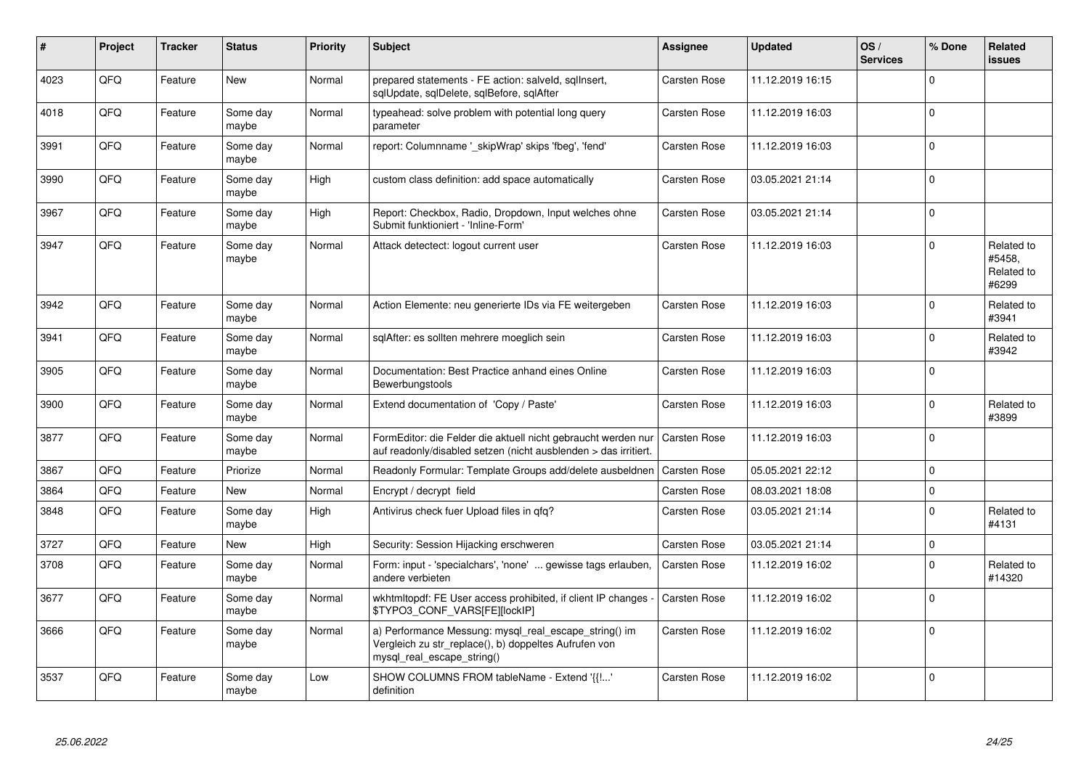| #    | Project | <b>Tracker</b> | <b>Status</b>     | <b>Priority</b> | <b>Subject</b>                                                                                                                               | <b>Assignee</b>     | <b>Updated</b>   | OS/<br><b>Services</b> | % Done         | Related<br>issues                           |
|------|---------|----------------|-------------------|-----------------|----------------------------------------------------------------------------------------------------------------------------------------------|---------------------|------------------|------------------------|----------------|---------------------------------------------|
| 4023 | QFQ     | Feature        | <b>New</b>        | Normal          | prepared statements - FE action: salveld, sqlInsert,<br>sqlUpdate, sqlDelete, sqlBefore, sqlAfter                                            | <b>Carsten Rose</b> | 11.12.2019 16:15 |                        | $\Omega$       |                                             |
| 4018 | QFQ     | Feature        | Some day<br>maybe | Normal          | typeahead: solve problem with potential long query<br>parameter                                                                              | Carsten Rose        | 11.12.2019 16:03 |                        | $\Omega$       |                                             |
| 3991 | QFQ     | Feature        | Some day<br>maybe | Normal          | report: Columnname '_skipWrap' skips 'fbeg', 'fend'                                                                                          | Carsten Rose        | 11.12.2019 16:03 |                        | $\mathbf 0$    |                                             |
| 3990 | QFQ     | Feature        | Some day<br>maybe | High            | custom class definition: add space automatically                                                                                             | <b>Carsten Rose</b> | 03.05.2021 21:14 |                        | $\Omega$       |                                             |
| 3967 | QFQ     | Feature        | Some day<br>maybe | High            | Report: Checkbox, Radio, Dropdown, Input welches ohne<br>Submit funktioniert - 'Inline-Form'                                                 | <b>Carsten Rose</b> | 03.05.2021 21:14 |                        | $\overline{0}$ |                                             |
| 3947 | QFQ     | Feature        | Some day<br>maybe | Normal          | Attack detectect: logout current user                                                                                                        | Carsten Rose        | 11.12.2019 16:03 |                        | $\Omega$       | Related to<br>#5458,<br>Related to<br>#6299 |
| 3942 | QFQ     | Feature        | Some day<br>maybe | Normal          | Action Elemente: neu generierte IDs via FE weitergeben                                                                                       | Carsten Rose        | 11.12.2019 16:03 |                        | $\Omega$       | Related to<br>#3941                         |
| 3941 | QFQ     | Feature        | Some day<br>maybe | Normal          | sqlAfter: es sollten mehrere moeglich sein                                                                                                   | <b>Carsten Rose</b> | 11.12.2019 16:03 |                        | $\Omega$       | Related to<br>#3942                         |
| 3905 | QFQ     | Feature        | Some day<br>maybe | Normal          | Documentation: Best Practice anhand eines Online<br>Bewerbungstools                                                                          | <b>Carsten Rose</b> | 11.12.2019 16:03 |                        | $\Omega$       |                                             |
| 3900 | QFQ     | Feature        | Some day<br>maybe | Normal          | Extend documentation of 'Copy / Paste'                                                                                                       | Carsten Rose        | 11.12.2019 16:03 |                        | $\Omega$       | Related to<br>#3899                         |
| 3877 | QFQ     | Feature        | Some day<br>maybe | Normal          | FormEditor: die Felder die aktuell nicht gebraucht werden nur<br>auf readonly/disabled setzen (nicht ausblenden > das irritiert.             | Carsten Rose        | 11.12.2019 16:03 |                        | $\Omega$       |                                             |
| 3867 | QFQ     | Feature        | Priorize          | Normal          | Readonly Formular: Template Groups add/delete ausbeldnen                                                                                     | <b>Carsten Rose</b> | 05.05.2021 22:12 |                        | $\Omega$       |                                             |
| 3864 | QFQ     | Feature        | New               | Normal          | Encrypt / decrypt field                                                                                                                      | Carsten Rose        | 08.03.2021 18:08 |                        | $\Omega$       |                                             |
| 3848 | QFQ     | Feature        | Some day<br>maybe | High            | Antivirus check fuer Upload files in qfq?                                                                                                    | Carsten Rose        | 03.05.2021 21:14 |                        | $\Omega$       | Related to<br>#4131                         |
| 3727 | QFQ     | Feature        | New               | High            | Security: Session Hijacking erschweren                                                                                                       | Carsten Rose        | 03.05.2021 21:14 |                        | $\Omega$       |                                             |
| 3708 | QFQ     | Feature        | Some day<br>maybe | Normal          | Form: input - 'specialchars', 'none'  gewisse tags erlauben,<br>andere verbieten                                                             | <b>Carsten Rose</b> | 11.12.2019 16:02 |                        | $\mathbf 0$    | Related to<br>#14320                        |
| 3677 | QFQ     | Feature        | Some day<br>maybe | Normal          | wkhtmltopdf: FE User access prohibited, if client IP changes -<br>\$TYPO3_CONF_VARS[FE][lockIP]                                              | <b>Carsten Rose</b> | 11.12.2019 16:02 |                        | $\Omega$       |                                             |
| 3666 | QFQ     | Feature        | Some day<br>maybe | Normal          | a) Performance Messung: mysql real escape string() im<br>Vergleich zu str_replace(), b) doppeltes Aufrufen von<br>mysql_real_escape_string() | Carsten Rose        | 11.12.2019 16:02 |                        | $\Omega$       |                                             |
| 3537 | QFQ     | Feature        | Some day<br>maybe | Low             | SHOW COLUMNS FROM tableName - Extend '{{!'<br>definition                                                                                     | <b>Carsten Rose</b> | 11.12.2019 16:02 |                        | $\Omega$       |                                             |